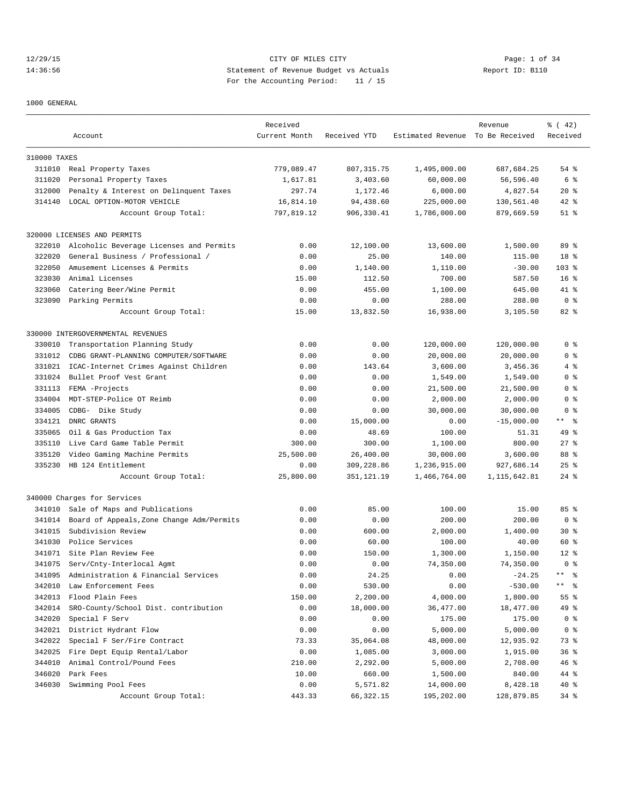# 12/29/15 CITY OF MILES CITY Page: 1 of 34 14:36:56 Statement of Revenue Budget vs Actuals Report ID: B110 For the Accounting Period: 11 / 15

1000 GENERAL

|              |                                           | Received      |              |                                  | Revenue        | % (42)          |
|--------------|-------------------------------------------|---------------|--------------|----------------------------------|----------------|-----------------|
|              | Account                                   | Current Month | Received YTD | Estimated Revenue To Be Received |                | Received        |
| 310000 TAXES |                                           |               |              |                                  |                |                 |
|              | 311010 Real Property Taxes                | 779,089.47    | 807, 315.75  | 1,495,000.00                     | 687.684.25     | 54 %            |
| 311020       | Personal Property Taxes                   | 1,617.81      | 3,403.60     | 60,000.00                        | 56,596.40      | 6 %             |
| 312000       | Penalty & Interest on Delinquent Taxes    | 297.74        | 1,172.46     | 6,000.00                         | 4,827.54       | $20*$           |
| 314140       | LOCAL OPTION-MOTOR VEHICLE                | 16,814.10     | 94,438.60    | 225,000.00                       | 130,561.40     | $42$ %          |
|              | Account Group Total:                      | 797,819.12    | 906,330.41   | 1,786,000.00                     | 879,669.59     | $51$ %          |
|              | 320000 LICENSES AND PERMITS               |               |              |                                  |                |                 |
|              |                                           | 0.00          |              | 13,600.00                        |                | 89 %            |
| 322010       | Alcoholic Beverage Licenses and Permits   |               | 12,100.00    |                                  | 1,500.00       |                 |
| 322020       | General Business / Professional /         | 0.00          | 25.00        | 140.00                           | 115.00         | 18 <sup>8</sup> |
| 322050       | Amusement Licenses & Permits              | 0.00          | 1,140.00     | 1,110.00                         | $-30.00$       | $103$ %         |
| 323030       | Animal Licenses                           | 15.00         | 112.50       | 700.00                           | 587.50         | 16 <sup>8</sup> |
| 323060       | Catering Beer/Wine Permit                 | 0.00          | 455.00       | 1,100.00                         | 645.00         | 41 %            |
|              | 323090 Parking Permits                    | 0.00          | 0.00         | 288.00                           | 288.00         | 0 <sup>8</sup>  |
|              | Account Group Total:                      | 15.00         | 13,832.50    | 16,938.00                        | 3,105.50       | 82%             |
|              | 330000 INTERGOVERNMENTAL REVENUES         |               |              |                                  |                |                 |
| 330010       | Transportation Planning Study             | 0.00          | 0.00         | 120,000.00                       | 120,000.00     | 0 <sup>8</sup>  |
| 331012       | CDBG GRANT-PLANNING COMPUTER/SOFTWARE     | 0.00          | 0.00         | 20,000.00                        | 20,000.00      | 0 <sup>8</sup>  |
| 331021       | ICAC-Internet Crimes Against Children     | 0.00          | 143.64       | 3,600.00                         | 3,456.36       | 4%              |
| 331024       | Bullet Proof Vest Grant                   | 0.00          | 0.00         | 1,549.00                         | 1,549.00       | 0 %             |
| 331113       | FEMA -Projects                            | 0.00          | 0.00         | 21,500.00                        | 21,500.00      | 0 <sup>8</sup>  |
| 334004       | MDT-STEP-Police OT Reimb                  | 0.00          | 0.00         | 2,000.00                         | 2,000.00       | 0 <sup>8</sup>  |
| 334005       | CDBG- Dike Study                          | 0.00          | 0.00         | 30,000.00                        | 30,000.00      | 0 <sup>8</sup>  |
| 334121       | DNRC GRANTS                               | 0.00          | 15,000.00    | 0.00                             | $-15,000.00$   | $***$ $ -$      |
| 335065       | Oil & Gas Production Tax                  | 0.00          | 48.69        | 100.00                           | 51.31          | 49 %            |
| 335110       | Live Card Game Table Permit               | 300.00        | 300.00       | 1,100.00                         | 800.00         | $27$ $%$        |
| 335120       | Video Gaming Machine Permits              | 25,500.00     | 26,400.00    | 30,000.00                        | 3,600.00       | 88 %            |
| 335230       | HB 124 Entitlement                        | 0.00          | 309,228.86   | 1,236,915.00                     | 927,686.14     | $25$ $%$        |
|              | Account Group Total:                      | 25,800.00     | 351,121.19   | 1,466,764.00                     | 1, 115, 642.81 | $24$ %          |
|              | 340000 Charges for Services               |               |              |                                  |                |                 |
| 341010       | Sale of Maps and Publications             | 0.00          | 85.00        | 100.00                           | 15.00          | 85%             |
| 341014       | Board of Appeals, Zone Change Adm/Permits | 0.00          | 0.00         | 200.00                           | 200.00         | 0 <sup>8</sup>  |
| 341015       | Subdivision Review                        | 0.00          | 600.00       | 2,000.00                         | 1,400.00       | $30*$           |
| 341030       | Police Services                           | 0.00          | 60.00        | 100.00                           | 40.00          | 60 %            |
|              | 341071 Site Plan Review Fee               | 0.00          | 150.00       | 1,300.00                         | 1,150.00       | $12*$           |
| 341075       | Serv/Cnty-Interlocal Agmt                 | 0.00          | 0.00         | 74,350.00                        | 74,350.00      | 0 <sup>8</sup>  |
| 341095       | Administration & Financial Services       | 0.00          | 24.25        | 0.00                             | $-24.25$       | ** 왕            |
| 342010       | Law Enforcement Fees                      | 0.00          | 530.00       | 0.00                             | $-530.00$      | ** 응            |
| 342013       | Flood Plain Fees                          | 150.00        | 2,200.00     | 4,000.00                         | 1,800.00       | 55 %            |
| 342014       | SRO-County/School Dist. contribution      | 0.00          | 18,000.00    | 36,477.00                        | 18,477.00      | 49 %            |
| 342020       | Special F Serv                            | 0.00          | 0.00         | 175.00                           | 175.00         | 0 <sub>8</sub>  |
| 342021       | District Hydrant Flow                     | 0.00          | 0.00         | 5,000.00                         | 5,000.00       | 0 <sub>8</sub>  |
| 342022       | Special F Ser/Fire Contract               | 73.33         | 35,064.08    | 48,000.00                        | 12,935.92      | 73 %            |
| 342025       | Fire Dept Equip Rental/Labor              | 0.00          | 1,085.00     | 3,000.00                         | 1,915.00       | 36%             |
| 344010       | Animal Control/Pound Fees                 | 210.00        | 2,292.00     | 5,000.00                         | 2,708.00       | 46%             |
| 346020       | Park Fees                                 | 10.00         | 660.00       | 1,500.00                         | 840.00         | 44 %            |
| 346030       | Swimming Pool Fees                        | 0.00          |              | 14,000.00                        | 8,428.18       | 40 %            |
|              |                                           |               | 5,571.82     |                                  |                |                 |
|              | Account Group Total:                      | 443.33        | 66,322.15    | 195,202.00                       | 128,879.85     | $34$ $%$        |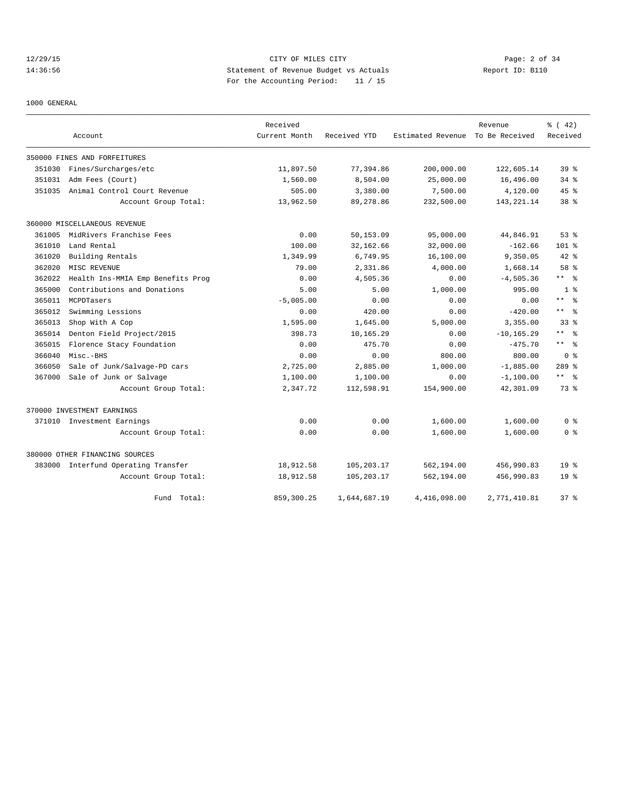12/29/15 CITY OF MILES CITY Page: 2 of 34 14:36:56 Statement of Revenue Budget vs Actuals Report ID: B110 For the Accounting Period: 11 / 15

1000 GENERAL

|        |                                   | Received      |              |                   | Revenue        | % (42)               |
|--------|-----------------------------------|---------------|--------------|-------------------|----------------|----------------------|
|        | Account                           | Current Month | Received YTD | Estimated Revenue | To Be Received | Received             |
|        | 350000 FINES AND FORFEITURES      |               |              |                   |                |                      |
| 351030 | Fines/Surcharges/etc              | 11,897.50     | 77,394.86    | 200,000.00        | 122,605.14     | 39 <sup>8</sup>      |
| 351031 | Adm Fees (Court)                  | 1,560.00      | 8,504.00     | 25,000.00         | 16,496.00      | $34$ $%$             |
| 351035 | Animal Control Court Revenue      | 505.00        | 3,380.00     | 7,500.00          | 4,120.00       | $45$ %               |
|        | Account Group Total:              | 13,962.50     | 89,278.86    | 232,500.00        | 143, 221. 14   | 38 <sup>8</sup>      |
|        | 360000 MISCELLANEOUS REVENUE      |               |              |                   |                |                      |
| 361005 | MidRivers Franchise Fees          | 0.00          | 50,153.09    | 95,000.00         | 44,846.91      | 53%                  |
| 361010 | Land Rental                       | 100.00        | 32,162.66    | 32,000.00         | $-162.66$      | 101 %                |
| 361020 | Building Rentals                  | 1,349.99      | 6,749.95     | 16,100.00         | 9,350.05       | $42$ %               |
| 362020 | MISC REVENUE                      | 79.00         | 2,331.86     | 4,000.00          | 1,668.14       | 58 %                 |
| 362022 | Health Ins-MMIA Emp Benefits Prog | 0.00          | 4,505.36     | 0.00              | $-4,505.36$    | $***$ %              |
| 365000 | Contributions and Donations       | 5.00          | 5.00         | 1,000.00          | 995.00         | 1 <sup>8</sup>       |
| 365011 | MCPDTasers                        | $-5.005.00$   | 0.00         | 0.00              | 0.00           | $\star\star$<br>- 옹  |
| 365012 | Swimming Lessions                 | 0.00          | 420.00       | 0.00              | $-420.00$      | $***$ $ \frac{6}{9}$ |
| 365013 | Shop With A Cop                   | 1,595.00      | 1,645.00     | 5,000.00          | 3,355.00       | 33 <sup>8</sup>      |
| 365014 | Denton Field Project/2015         | 398.73        | 10,165.29    | 0.00              | $-10, 165.29$  | $***$ $%$            |
| 365015 | Florence Stacy Foundation         | 0.00          | 475.70       | 0.00              | $-475.70$      | $***$ $ -$           |
| 366040 | Misc.-BHS                         | 0.00          | 0.00         | 800.00            | 800.00         | 0 <sup>8</sup>       |
| 366050 | Sale of Junk/Salvage-PD cars      | 2,725.00      | 2,885.00     | 1,000.00          | $-1,885.00$    | $289$ %              |
| 367000 | Sale of Junk or Salvage           | 1,100.00      | 1,100.00     | 0.00              | $-1,100.00$    | $***$ $%$            |
|        | Account Group Total:              | 2,347.72      | 112,598.91   | 154,900.00        | 42,301.09      | 73 %                 |
|        | 370000 INVESTMENT EARNINGS        |               |              |                   |                |                      |
|        | 371010 Investment Earnings        | 0.00          | 0.00         | 1,600.00          | 1,600.00       | 0 <sup>8</sup>       |
|        | Account Group Total:              | 0.00          | 0.00         | 1,600.00          | 1,600.00       | 0 <sup>8</sup>       |
|        | 380000 OTHER FINANCING SOURCES    |               |              |                   |                |                      |
| 383000 | Interfund Operating Transfer      | 18,912.58     | 105,203.17   | 562,194.00        | 456,990.83     | 19 <sup>8</sup>      |
|        | Account Group Total:              | 18,912.58     | 105,203.17   | 562,194.00        | 456,990.83     | 19 <sup>8</sup>      |
|        | Total:<br>Fund                    | 859,300.25    | 1,644,687.19 | 4,416,098.00      | 2,771,410.81   | $37 - 2$             |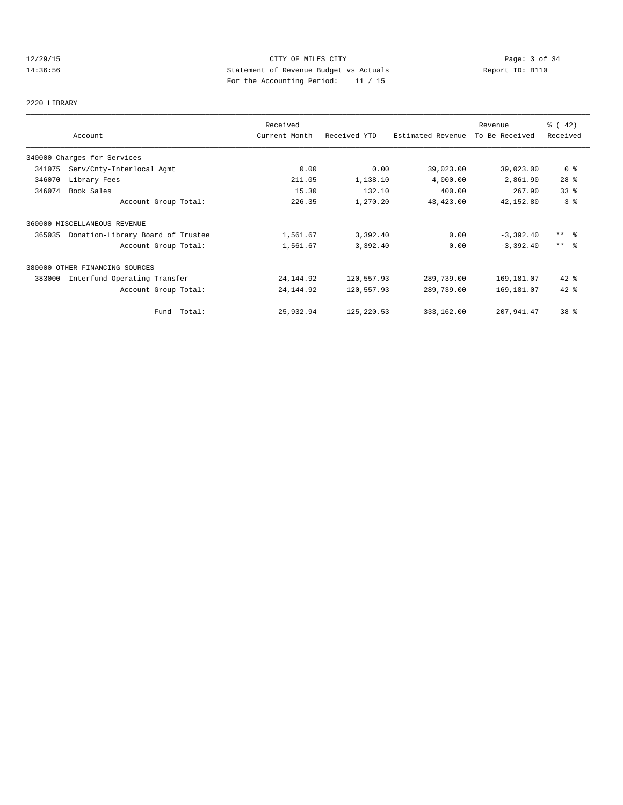# 12/29/15 CITY OF MILES CITY Page: 3 of 34 14:36:56 Statement of Revenue Budget vs Actuals Report ID: B110 For the Accounting Period: 11 / 15

# 2220 LIBRARY

|        |                                   | Received      |              |                   | Revenue        | $\frac{1}{6}$ ( 42)     |
|--------|-----------------------------------|---------------|--------------|-------------------|----------------|-------------------------|
|        | Account                           | Current Month | Received YTD | Estimated Revenue | To Be Received | Received                |
|        | 340000 Charges for Services       |               |              |                   |                |                         |
| 341075 | Serv/Cnty-Interlocal Agmt         | 0.00          | 0.00         | 39,023.00         | 39,023.00      | 0 <sup>8</sup>          |
| 346070 | Library Fees                      | 211.05        | 1,138.10     | 4,000.00          | 2,861.90       | $28$ %                  |
| 346074 | Book Sales                        | 15.30         | 132.10       | 400.00            | 267.90         | 33 <sup>8</sup>         |
|        | Account Group Total:              | 226.35        | 1,270.20     | 43,423.00         | 42,152.80      | 3 <sup>°</sup>          |
|        | 360000 MISCELLANEOUS REVENUE      |               |              |                   |                |                         |
| 365035 | Donation-Library Board of Trustee | 1,561.67      | 3,392.40     | 0.00              | $-3,392.40$    | $***$ $=$ $\frac{6}{5}$ |
|        | Account Group Total:              | 1,561.67      | 3,392.40     | 0.00              | $-3,392.40$    | $***$ $ -$              |
|        | 380000 OTHER FINANCING SOURCES    |               |              |                   |                |                         |
| 383000 | Interfund Operating Transfer      | 24, 144.92    | 120,557.93   | 289,739.00        | 169,181.07     | $42$ %                  |
|        | Account Group Total:              | 24, 144.92    | 120,557.93   | 289,739.00        | 169,181.07     | $42$ %                  |
|        | Fund Total:                       | 25,932.94     | 125, 220.53  | 333,162.00        | 207,941.47     | 38 <sup>8</sup>         |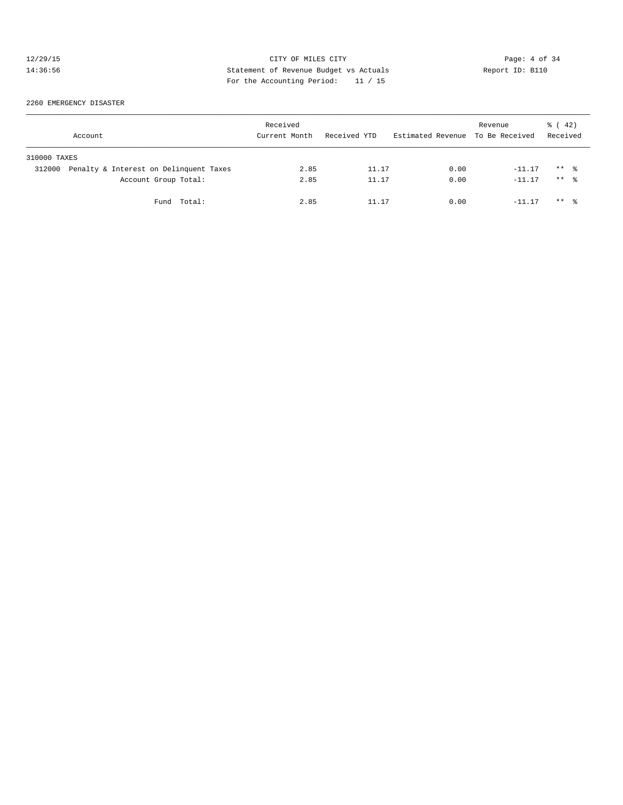# 12/29/15 CITY OF MILES CITY Page: 4 of 34<br>14:36:56 Statement of Revenue Budget vs Actuals Report ID: B110<br>14:36:56 Page: the National Page: And National Page: 4 of 34 14:36:56 Statement of Revenue Budget vs Actuals Report ID: B110 For the Accounting Period: 11 / 15

2260 EMERGENCY DISASTER

| Account      |                                        | Received<br>Current Month | Received YTD | Estimated Revenue | Revenue<br>To Be Received | $\frac{1}{6}$ ( 42)<br>Received |  |
|--------------|----------------------------------------|---------------------------|--------------|-------------------|---------------------------|---------------------------------|--|
| 310000 TAXES |                                        |                           |              |                   |                           |                                 |  |
| 312000       | Penalty & Interest on Delinquent Taxes | 2.85                      | 11.17        | 0.00              | $-11.17$                  | $***$ $\frac{6}{3}$             |  |
|              | Account Group Total:                   | 2.85                      | 11.17        | 0.00              | $-11.17$                  | $***$ $\frac{6}{6}$             |  |
|              | Fund Total:                            | 2.85                      | 11.17        | 0.00              | $-11.17$                  | $***$ $\frac{6}{3}$             |  |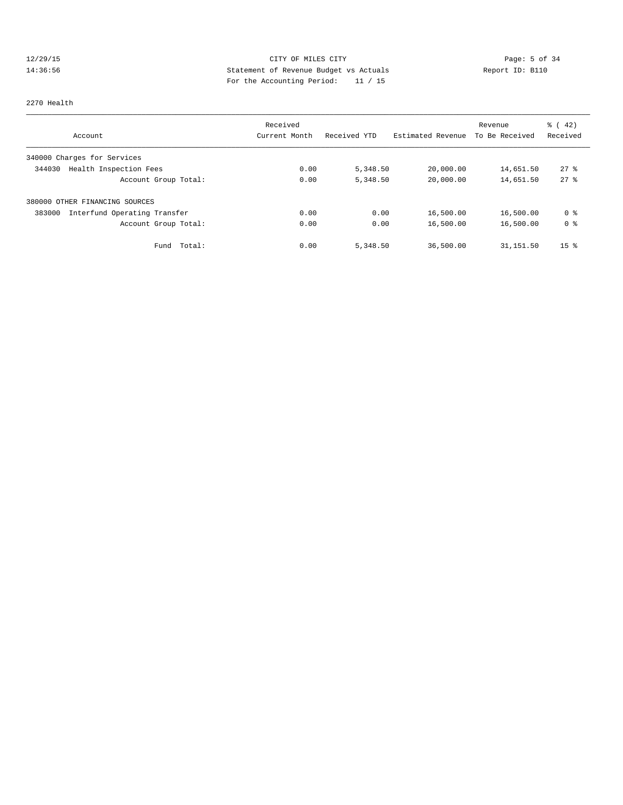# 12/29/15 CITY OF MILES CITY CHEREN CITY Page: 5 of 34<br>14:36:56 Statement of Revenue Budget vs Actuals Report ID: B110<br>14:36:56 Statement of Revenue Budget vs Actuals 14:36:56 Statement of Revenue Budget vs Actuals Report ID: B110 For the Accounting Period: 11 / 15

#### 2270 Health

|                                        | Received      |              |                   | Revenue        | $\frac{1}{6}$ ( 42) |
|----------------------------------------|---------------|--------------|-------------------|----------------|---------------------|
| Account                                | Current Month | Received YTD | Estimated Revenue | To Be Received | Received            |
| 340000 Charges for Services            |               |              |                   |                |                     |
| Health Inspection Fees<br>344030       | 0.00          | 5,348.50     | 20,000.00         | 14,651.50      | $27$ $%$            |
| Account Group Total:                   | 0.00          | 5,348.50     | 20,000.00         | 14,651.50      | $27$ $%$            |
| 380000 OTHER FINANCING SOURCES         |               |              |                   |                |                     |
| Interfund Operating Transfer<br>383000 | 0.00          | 0.00         | 16,500.00         | 16,500.00      | 0 %                 |
| Account Group Total:                   | 0.00          | 0.00         | 16,500.00         | 16,500.00      | 0 <sup>8</sup>      |
| Total:<br>Fund                         | 0.00          | 5,348.50     | 36,500.00         | 31,151.50      | 15 <sup>8</sup>     |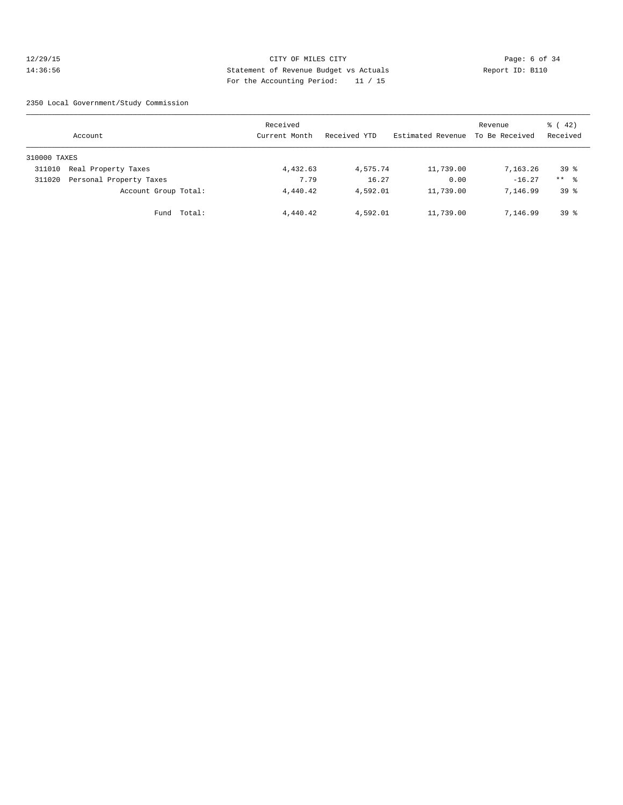# 12/29/15 CITY OF MILES CITY Page: 6 of 34 14:36:56 Statement of Revenue Budget vs Actuals Report ID: B110 For the Accounting Period: 11 / 15

2350 Local Government/Study Commission

|              | Account                 |        | Received<br>Current Month | Received YTD | Estimated Revenue | Revenue<br>To Be Received | 42)<br>ී (<br>Received |
|--------------|-------------------------|--------|---------------------------|--------------|-------------------|---------------------------|------------------------|
| 310000 TAXES |                         |        |                           |              |                   |                           |                        |
| 311010       | Real Property Taxes     |        | 4,432.63                  | 4,575.74     | 11,739.00         | 7,163.26                  | 39 <sup>°</sup>        |
| 311020       | Personal Property Taxes |        | 7.79                      | 16.27        | 0.00              | $-16.27$                  | $***$ %                |
|              | Account Group Total:    |        | 4,440.42                  | 4,592.01     | 11,739.00         | 7.146.99                  | 39 <sup>8</sup>        |
|              | Fund                    | Total: | 4,440.42                  | 4,592.01     | 11,739.00         | 7,146.99                  | 39 <sup>8</sup>        |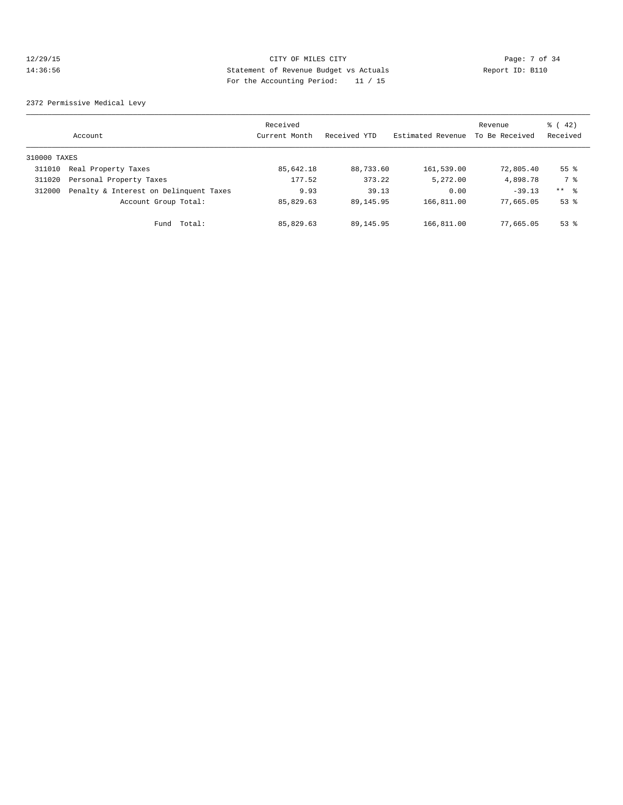# 12/29/15 CITY OF MILES CITY Page: 7 of 34 14:36:56 Statement of Revenue Budget vs Actuals Report ID: B110 For the Accounting Period: 11 / 15

2372 Permissive Medical Levy

|              | Account                                | Received<br>Current Month | Received YTD | Estimated Revenue | Revenue<br>To Be Received | $\frac{1}{6}$ ( 42)<br>Received |
|--------------|----------------------------------------|---------------------------|--------------|-------------------|---------------------------|---------------------------------|
| 310000 TAXES |                                        |                           |              |                   |                           |                                 |
| 311010       | Real Property Taxes                    | 85,642.18                 | 88,733.60    | 161,539.00        | 72,805.40                 | 55 <sup>8</sup>                 |
| 311020       | Personal Property Taxes                | 177.52                    | 373.22       | 5,272.00          | 4,898.78                  | 7 %                             |
| 312000       | Penalty & Interest on Delinquent Taxes | 9.93                      | 39.13        | 0.00              | $-39.13$                  | ** 왕                            |
|              | Account Group Total:                   | 85,829.63                 | 89, 145, 95  | 166,811.00        | 77,665.05                 | $53$ $%$                        |
|              | Fund Total:                            | 85,829.63                 | 89, 145, 95  | 166,811.00        | 77,665.05                 | $53$ $%$                        |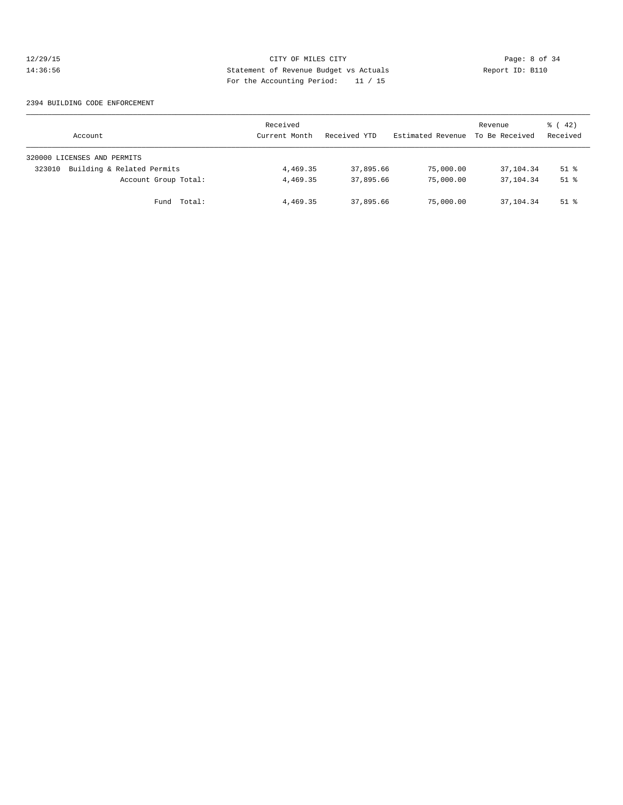# 12/29/15 CITY OF MILES CITY Page: 8 of 34<br>14:36:56 Statement of Revenue Budget vs Actuals Report ID: B110<br>14:36:56 Page: the National Page of Actual Page: 11:16 14:36:56 Statement of Revenue Budget vs Actuals Report ID: B110 For the Accounting Period: 11 / 15

#### 2394 BUILDING CODE ENFORCEMENT

| Account                              | Received<br>Current Month | Received YTD | Estimated Revenue | Revenue<br>To Be Received | $\frac{1}{6}$ ( 42)<br>Received |
|--------------------------------------|---------------------------|--------------|-------------------|---------------------------|---------------------------------|
| 320000 LICENSES AND PERMITS          |                           |              |                   |                           |                                 |
| Building & Related Permits<br>323010 | 4,469.35                  | 37,895.66    | 75,000.00         | 37,104.34                 | $51$ $%$                        |
| Account Group Total:                 | 4,469.35                  | 37,895.66    | 75,000.00         | 37,104.34                 | $51$ $%$                        |
| Fund Total:                          | 4,469.35                  | 37,895,66    | 75,000.00         | 37,104.34                 | $51$ %                          |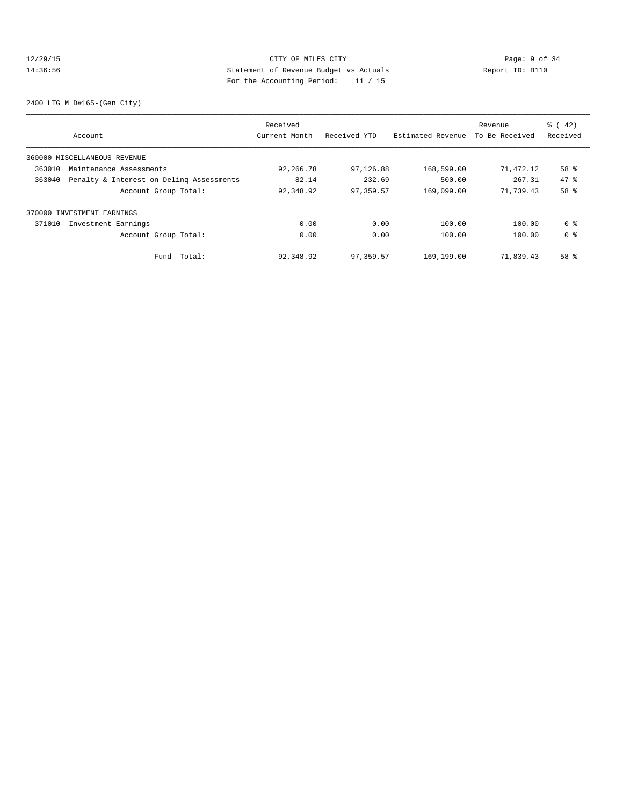# 12/29/15 CITY OF MILES CITY Page: 9 of 34<br>14:36:56 Statement of Revenue Budget vs Actuals Report ID: B110<br>14:36:56 Statement of Revenue Budget vs Actuals 14:36:56 Statement of Revenue Budget vs Actuals Report ID: B110 For the Accounting Period: 11 / 15

2400 LTG M D#165-(Gen City)

|        |                                          | Received      |              |                   | Revenue        | $\frac{1}{6}$ ( 42) |
|--------|------------------------------------------|---------------|--------------|-------------------|----------------|---------------------|
|        | Account                                  | Current Month | Received YTD | Estimated Revenue | To Be Received | Received            |
|        | 360000 MISCELLANEOUS REVENUE             |               |              |                   |                |                     |
| 363010 | Maintenance Assessments                  | 92,266.78     | 97,126.88    | 168,599.00        | 71,472.12      | 58 %                |
| 363040 | Penalty & Interest on Deling Assessments | 82.14         | 232.69       | 500.00            | 267.31         | 47.8                |
|        | Account Group Total:                     | 92,348.92     | 97,359.57    | 169,099.00        | 71,739.43      | 58 %                |
|        | 370000 INVESTMENT EARNINGS               |               |              |                   |                |                     |
| 371010 | Investment Earnings                      | 0.00          | 0.00         | 100.00            | 100.00         | 0 %                 |
|        | Account Group Total:                     | 0.00          | 0.00         | 100.00            | 100.00         | 0 <sup>8</sup>      |
|        | Total:<br>Fund                           | 92,348.92     | 97,359.57    | 169,199.00        | 71,839.43      | 58 %                |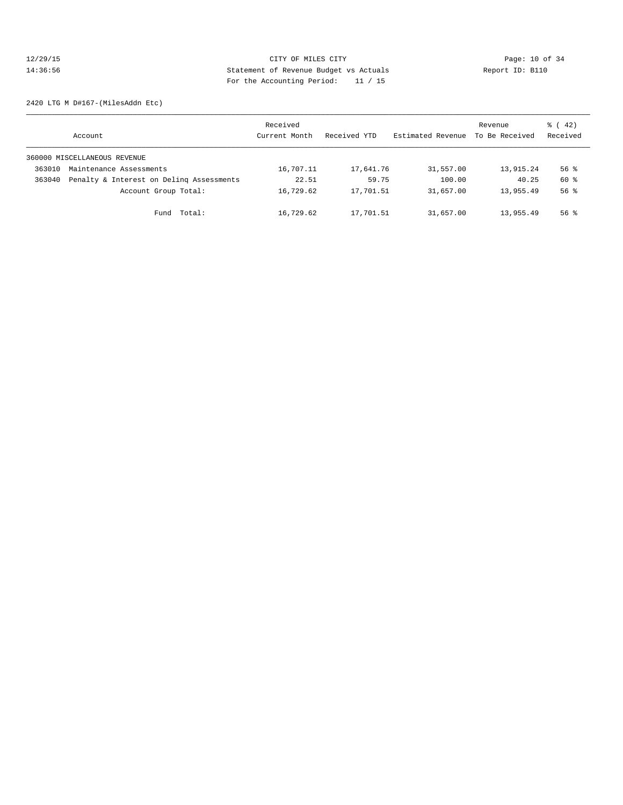# 12/29/15 Page: 10 of 34 14:36:56 Statement of Revenue Budget vs Actuals Report ID: B110 For the Accounting Period: 11 / 15

2420 LTG M D#167-(MilesAddn Etc)

|        | Account                                  | Received<br>Current Month | Received YTD | Estimated Revenue | Revenue<br>To Be Received | $\frac{1}{6}$ ( 42)<br>Received |
|--------|------------------------------------------|---------------------------|--------------|-------------------|---------------------------|---------------------------------|
|        | 360000 MISCELLANEOUS REVENUE             |                           |              |                   |                           |                                 |
| 363010 | Maintenance Assessments                  | 16,707.11                 | 17,641.76    | 31,557.00         | 13,915.24                 | 56 %                            |
| 363040 | Penalty & Interest on Deling Assessments | 22.51                     | 59.75        | 100.00            | 40.25                     | 60 %                            |
|        | Account Group Total:                     | 16,729.62                 | 17,701.51    | 31,657.00         | 13,955.49                 | 56 <sup>8</sup>                 |
|        | Fund Total:                              | 16,729.62                 | 17,701.51    | 31,657.00         | 13,955.49                 | $56$ $%$                        |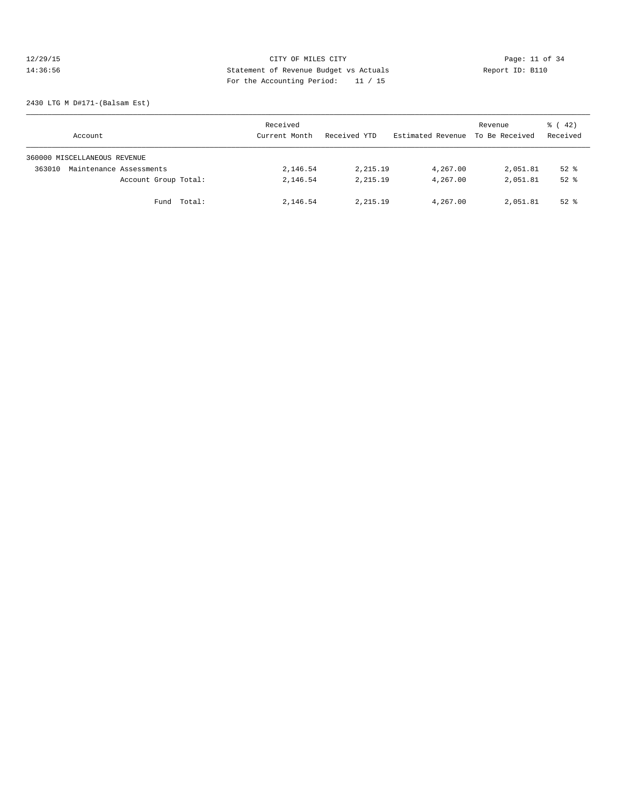# 12/29/15 Page: 11 of 34 14:36:56 Statement of Revenue Budget vs Actuals Report ID: B110 For the Accounting Period: 11 / 15

2430 LTG M D#171-(Balsam Est)

| Account                           | Received<br>Current Month | Received YTD | Estimated Revenue | Revenue<br>To Be Received | $\frac{1}{6}$ ( 42)<br>Received |
|-----------------------------------|---------------------------|--------------|-------------------|---------------------------|---------------------------------|
| 360000 MISCELLANEOUS REVENUE      |                           |              |                   |                           |                                 |
| 363010<br>Maintenance Assessments | 2,146.54                  | 2,215.19     | 4,267.00          | 2,051.81                  | $52$ $%$                        |
| Account Group Total:              | 2,146.54                  | 2, 215, 19   | 4,267.00          | 2,051.81                  | $52$ $%$                        |
| Fund Total:                       | 2,146.54                  | 2, 215, 19   | 4,267.00          | 2,051.81                  | $52$ $%$                        |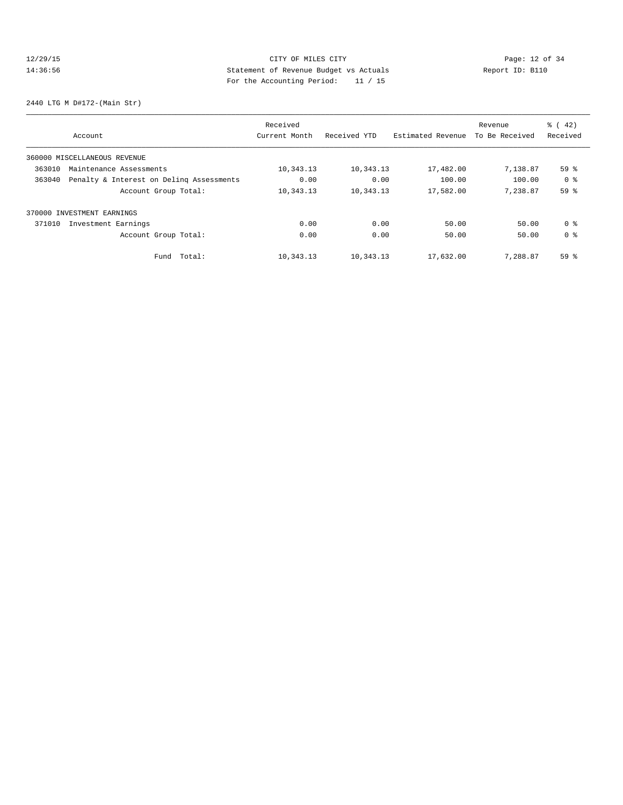# 12/29/15 **Page: 12 of 34** CITY OF MILES CITY **Page: 12 of 34** 14:36:56 Statement of Revenue Budget vs Actuals Report ID: B110 For the Accounting Period: 11 / 15

2440 LTG M D#172-(Main Str)

|        |                                          | Received      |              |                   | Revenue        | % (42)          |
|--------|------------------------------------------|---------------|--------------|-------------------|----------------|-----------------|
|        | Account                                  | Current Month | Received YTD | Estimated Revenue | To Be Received | Received        |
|        | 360000 MISCELLANEOUS REVENUE             |               |              |                   |                |                 |
| 363010 | Maintenance Assessments                  | 10,343.13     | 10,343.13    | 17,482.00         | 7,138.87       | 59 %            |
| 363040 | Penalty & Interest on Deling Assessments | 0.00          | 0.00         | 100.00            | 100.00         | 0 <sup>8</sup>  |
|        | Account Group Total:                     | 10,343.13     | 10,343.13    | 17,582.00         | 7,238.87       | 59 %            |
|        | 370000 INVESTMENT EARNINGS               |               |              |                   |                |                 |
| 371010 | Investment Earnings                      | 0.00          | 0.00         | 50.00             | 50.00          | 0 <sup>8</sup>  |
|        | Account Group Total:                     | 0.00          | 0.00         | 50.00             | 50.00          | 0 <sup>8</sup>  |
|        | Total:<br>Fund                           | 10,343.13     | 10,343.13    | 17,632.00         | 7,288.87       | 59 <sup>°</sup> |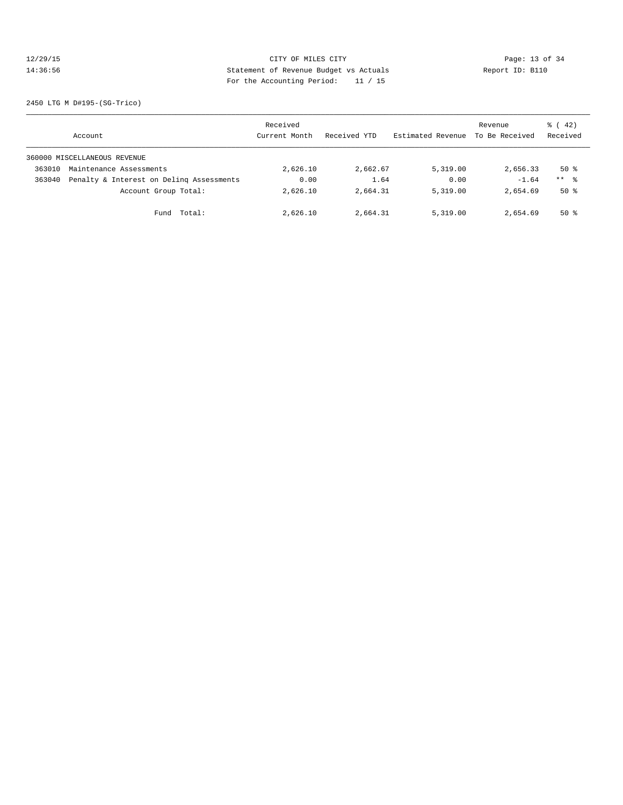# 12/29/15 Page: 13 of 34 14:36:56 Statement of Revenue Budget vs Actuals Report ID: B110 For the Accounting Period: 11 / 15

2450 LTG M D#195-(SG-Trico)

|        | Account                                  | Received<br>Current Month | Received YTD | Estimated Revenue | Revenue<br>To Be Received | $\frac{1}{6}$ ( 42)<br>Received |
|--------|------------------------------------------|---------------------------|--------------|-------------------|---------------------------|---------------------------------|
|        | 360000 MISCELLANEOUS REVENUE             |                           |              |                   |                           |                                 |
| 363010 | Maintenance Assessments                  | 2,626.10                  | 2,662.67     | 5,319,00          | 2,656.33                  | 50%                             |
| 363040 | Penalty & Interest on Deling Assessments | 0.00                      | 1.64         | 0.00              | $-1.64$                   | $***$ %                         |
|        | Account Group Total:                     | 2,626.10                  | 2,664.31     | 5,319.00          | 2,654.69                  | 50%                             |
|        | Total:<br>Fund                           | 2,626.10                  | 2,664.31     | 5,319.00          | 2,654.69                  | 50%                             |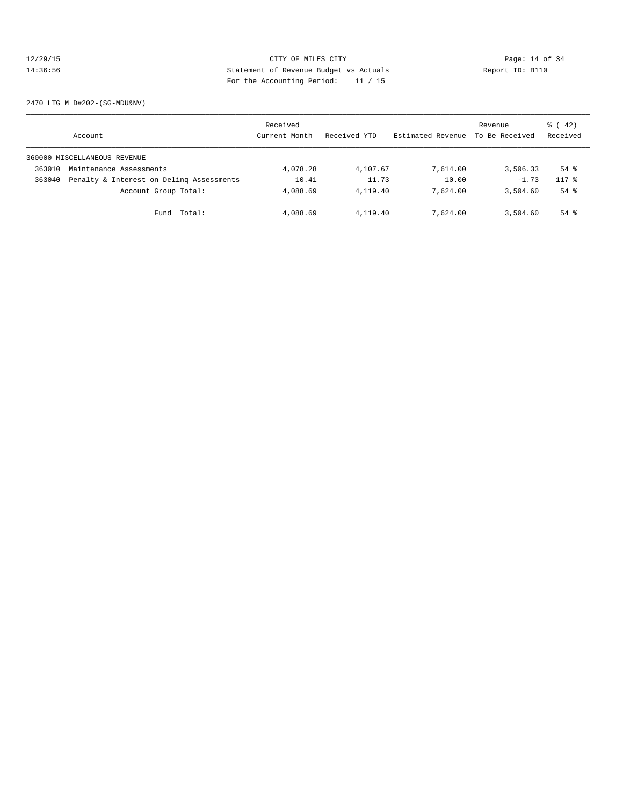# 12/29/15 Page: 14 of 34 14:36:56 Statement of Revenue Budget vs Actuals Report ID: B110 For the Accounting Period: 11 / 15

2470 LTG M D#202-(SG-MDU&NV)

|        | Account                                  | Received<br>Current Month | Received YTD | Estimated Revenue | Revenue<br>To Be Received | $\frac{1}{6}$ ( 42)<br>Received |
|--------|------------------------------------------|---------------------------|--------------|-------------------|---------------------------|---------------------------------|
|        | 360000 MISCELLANEOUS REVENUE             |                           |              |                   |                           |                                 |
| 363010 | Maintenance Assessments                  | 4,078.28                  | 4,107.67     | 7,614.00          | 3,506.33                  | $54$ %                          |
| 363040 | Penalty & Interest on Deling Assessments | 10.41                     | 11.73        | 10.00             | $-1.73$                   | $117*$                          |
|        | Account Group Total:                     | 4,088.69                  | 4,119.40     | 7,624.00          | 3,504.60                  | $54$ %                          |
|        | Total:<br>Fund                           | 4,088.69                  | 4,119.40     | 7,624.00          | 3,504.60                  | $54$ %                          |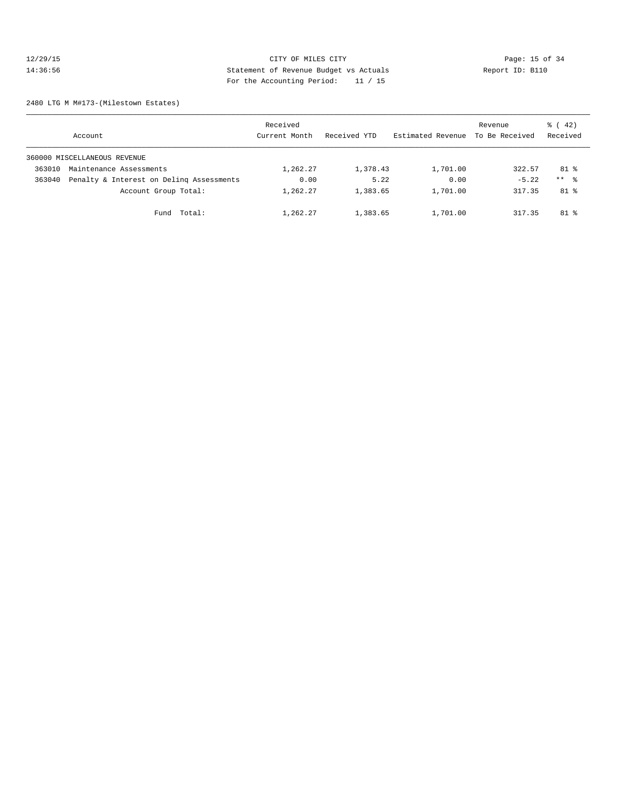# 12/29/15 Page: 15 of 34 14:36:56 Statement of Revenue Budget vs Actuals Report ID: B110 For the Accounting Period: 11 / 15

2480 LTG M M#173-(Milestown Estates)

|        | Account                                  | Received<br>Current Month | Received YTD | Estimated Revenue | Revenue<br>To Be Received | $\frac{1}{6}$ ( 42)<br>Received |
|--------|------------------------------------------|---------------------------|--------------|-------------------|---------------------------|---------------------------------|
|        | 360000 MISCELLANEOUS REVENUE             |                           |              |                   |                           |                                 |
| 363010 | Maintenance Assessments                  | 1,262.27                  | 1,378.43     | 1,701.00          | 322.57                    | 81 %                            |
| 363040 | Penalty & Interest on Deling Assessments | 0.00                      | 5.22         | 0.00              | $-5.22$                   | $***$ 8                         |
|        | Account Group Total:                     | 1,262.27                  | 1,383.65     | 1,701.00          | 317.35                    | $81$ %                          |
|        | Fund Total:                              | 1,262.27                  | 1,383.65     | 1,701.00          | 317.35                    | $81$ %                          |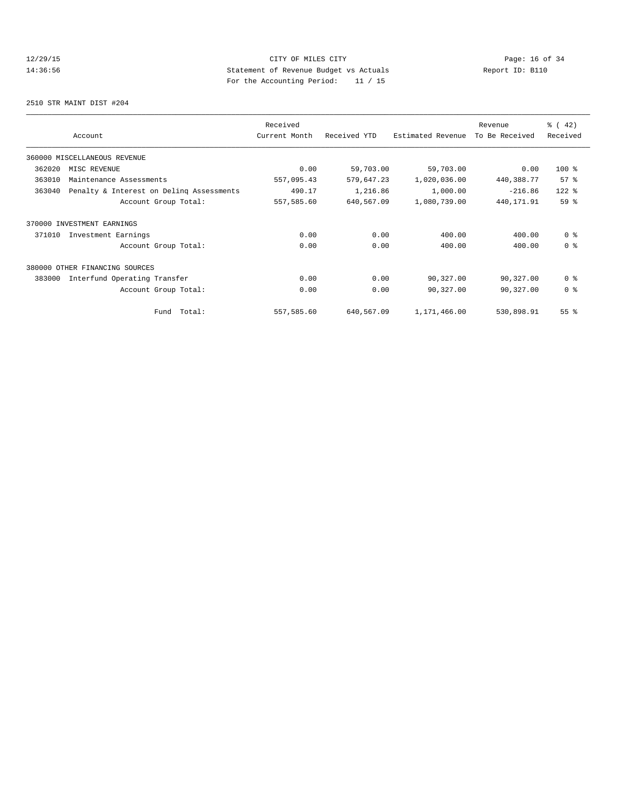# 12/29/15 Page: 16 of 34 14:36:56 Statement of Revenue Budget vs Actuals Report ID: B110 For the Accounting Period: 11 / 15

2510 STR MAINT DIST #204

|        | Account                                  | Received<br>Current Month | Received YTD | Estimated Revenue | Revenue<br>To Be Received | % (42)<br>Received |
|--------|------------------------------------------|---------------------------|--------------|-------------------|---------------------------|--------------------|
|        | 360000 MISCELLANEOUS REVENUE             |                           |              |                   |                           |                    |
| 362020 | MISC REVENUE                             | 0.00                      | 59,703.00    | 59,703.00         | 0.00                      | $100$ %            |
| 363010 | Maintenance Assessments                  | 557,095.43                | 579,647.23   | 1,020,036.00      | 440,388.77                | 57%                |
| 363040 | Penalty & Interest on Deling Assessments | 490.17                    | 1,216.86     | 1,000.00          | $-216.86$                 | 122 %              |
|        | Account Group Total:                     | 557,585.60                | 640,567.09   | 1,080,739.00      | 440, 171.91               | 59 %               |
|        | 370000 INVESTMENT EARNINGS               |                           |              |                   |                           |                    |
| 371010 | Investment Earnings                      | 0.00                      | 0.00         | 400.00            | 400.00                    | 0 <sup>8</sup>     |
|        | Account Group Total:                     | 0.00                      | 0.00         | 400.00            | 400.00                    | 0 <sup>8</sup>     |
|        | 380000 OTHER FINANCING SOURCES           |                           |              |                   |                           |                    |
| 383000 | Interfund Operating Transfer             | 0.00                      | 0.00         | 90,327.00         | 90,327.00                 | 0 <sup>8</sup>     |
|        | Account Group Total:                     | 0.00                      | 0.00         | 90,327.00         | 90,327.00                 | 0 <sup>8</sup>     |
|        | Total:<br>Fund                           | 557,585.60                | 640,567.09   | 1,171,466.00      | 530,898.91                | 55 %               |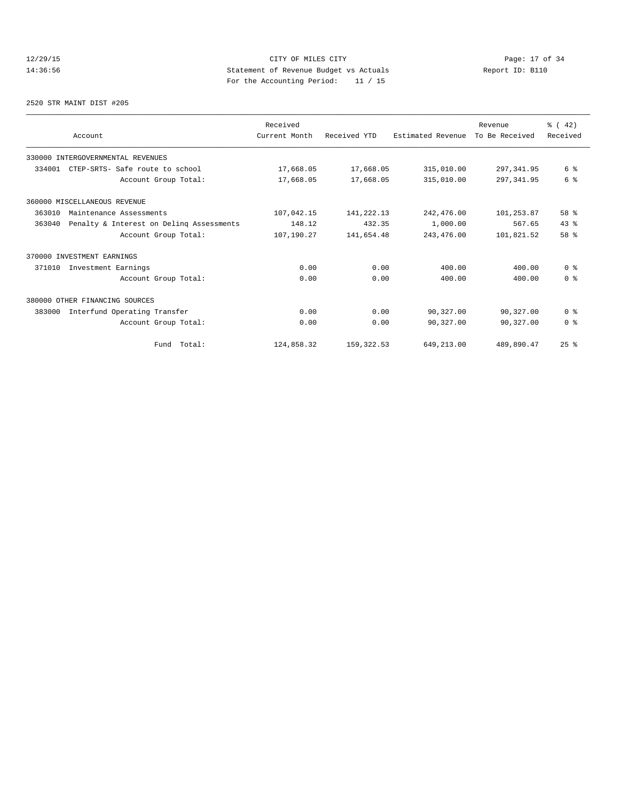# 12/29/15 **Page: 17 of 34** CITY OF MILES CITY **Page: 17 of 34** 14:36:56 Statement of Revenue Budget vs Actuals Report ID: B110 For the Accounting Period: 11 / 15

#### 2520 STR MAINT DIST #205

|        |                                          | Received      |              |                   | Revenue        | % (42)         |
|--------|------------------------------------------|---------------|--------------|-------------------|----------------|----------------|
|        | Account                                  | Current Month | Received YTD | Estimated Revenue | To Be Received | Received       |
|        | 330000 INTERGOVERNMENTAL REVENUES        |               |              |                   |                |                |
| 334001 | CTEP-SRTS- Safe route to school          | 17,668.05     | 17,668.05    | 315,010.00        | 297, 341.95    | 6 %            |
|        | Account Group Total:                     | 17,668.05     | 17,668.05    | 315,010.00        | 297, 341.95    | 6 %            |
|        | 360000 MISCELLANEOUS REVENUE             |               |              |                   |                |                |
| 363010 | Maintenance Assessments                  | 107,042.15    | 141,222.13   | 242,476.00        | 101,253.87     | 58 %           |
| 363040 | Penalty & Interest on Deling Assessments | 148.12        | 432.35       | 1,000.00          | 567.65         | 43.8           |
|        | Account Group Total:                     | 107,190.27    | 141,654.48   | 243, 476.00       | 101,821.52     | 58 %           |
|        | 370000 INVESTMENT EARNINGS               |               |              |                   |                |                |
| 371010 | Investment Earnings                      | 0.00          | 0.00         | 400.00            | 400.00         | 0 <sup>8</sup> |
|        | Account Group Total:                     | 0.00          | 0.00         | 400.00            | 400.00         | 0 <sup>8</sup> |
|        | 380000 OTHER FINANCING SOURCES           |               |              |                   |                |                |
| 383000 | Interfund Operating Transfer             | 0.00          | 0.00         | 90,327.00         | 90,327.00      | 0 <sup>8</sup> |
|        | Account Group Total:                     | 0.00          | 0.00         | 90,327.00         | 90,327.00      | 0 <sup>8</sup> |
|        | Fund Total:                              | 124,858.32    | 159, 322.53  | 649,213.00        | 489,890.47     | $25$ %         |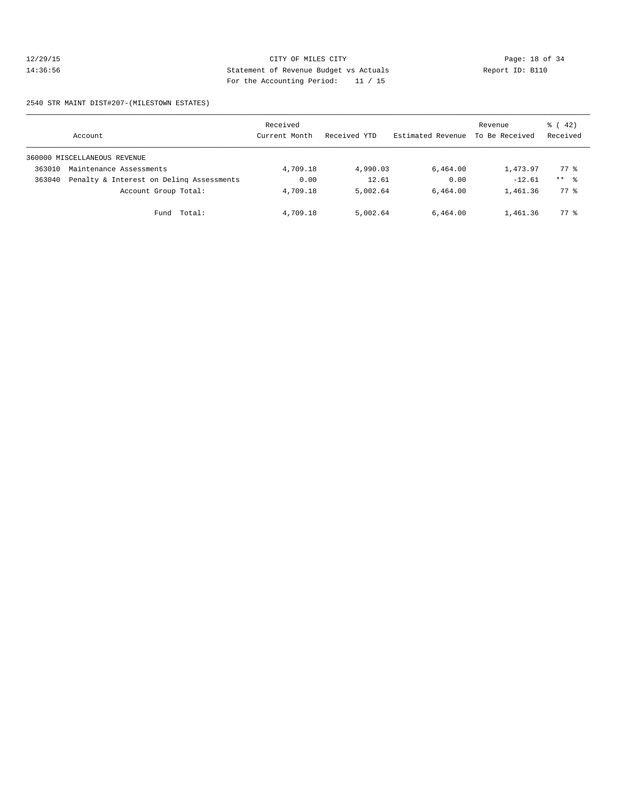# 12/29/15 Page: 18 of 34 14:36:56 Statement of Revenue Budget vs Actuals Report ID: B110 For the Accounting Period: 11 / 15

2540 STR MAINT DIST#207-(MILESTOWN ESTATES)

|        | Account                                  | Received<br>Current Month | Received YTD | Estimated Revenue | Revenue<br>To Be Received | $\frac{1}{6}$ ( 42)<br>Received |
|--------|------------------------------------------|---------------------------|--------------|-------------------|---------------------------|---------------------------------|
|        | 360000 MISCELLANEOUS REVENUE             |                           |              |                   |                           |                                 |
| 363010 | Maintenance Assessments                  | 4,709.18                  | 4,990.03     | 6,464.00          | 1,473.97                  | 77.8                            |
| 363040 | Penalty & Interest on Deling Assessments | 0.00                      | 12.61        | 0.00              | $-12.61$                  | $***$ $\approx$                 |
|        | Account Group Total:                     | 4,709.18                  | 5,002.64     | 6,464.00          | 1,461.36                  | 77.8                            |
|        | Total:<br>Fund                           | 4,709.18                  | 5,002.64     | 6,464.00          | 1,461.36                  | 77.8                            |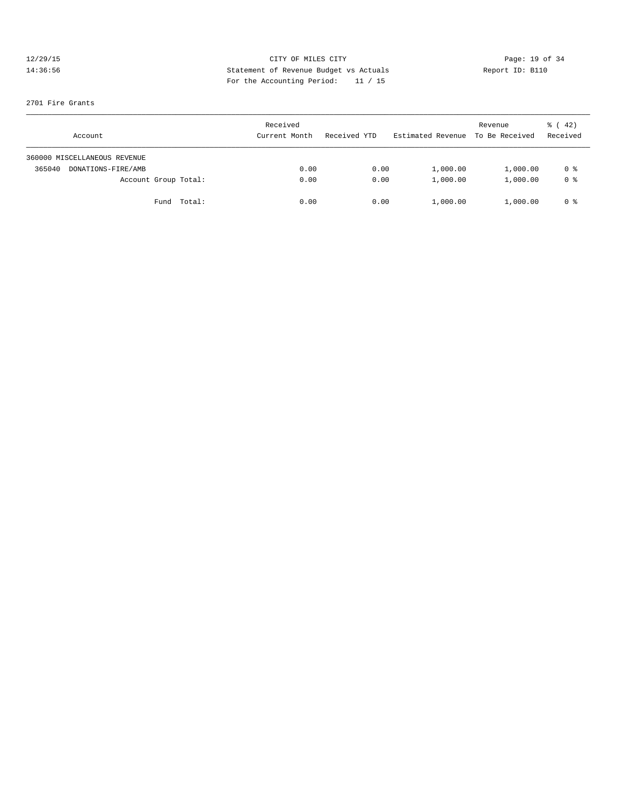# 12/29/15 CITY OF MILES CITY Page: 19 of 34 14:36:56 Statement of Revenue Budget vs Actuals Report ID: B110 For the Accounting Period: 11 / 15

#### 2701 Fire Grants

| Account                      | Received<br>Current Month | Received YTD | Estimated Revenue To Be Received | Revenue  | $\frac{1}{6}$ ( 42)<br>Received |
|------------------------------|---------------------------|--------------|----------------------------------|----------|---------------------------------|
| 360000 MISCELLANEOUS REVENUE |                           |              |                                  |          |                                 |
| 365040<br>DONATIONS-FIRE/AMB | 0.00                      | 0.00         | 1,000.00                         | 1,000.00 | 0 %                             |
| Account Group Total:         | 0.00                      | 0.00         | 1,000.00                         | 1,000.00 | 0 <sup>8</sup>                  |
| Fund Total:                  | 0.00                      | 0.00         | 1,000.00                         | 1,000.00 | 0 %                             |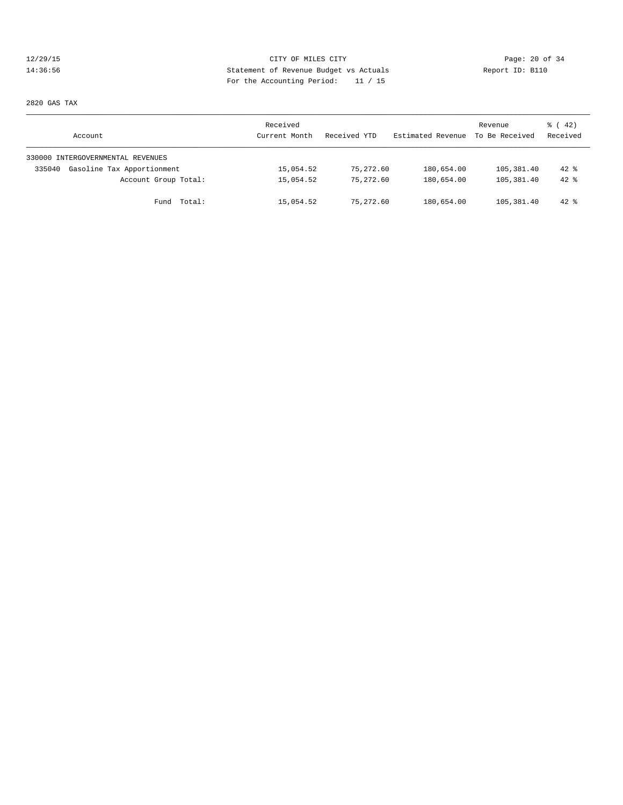# 12/29/15 Page: 20 of 34 14:36:56 Statement of Revenue Budget vs Actuals Report ID: B110 For the Accounting Period: 11 / 15

2820 GAS TAX

| Account                              | Received<br>Current Month | Received YTD | Estimated Revenue | Revenue<br>To Be Received | $\frac{1}{6}$ ( 42)<br>Received |
|--------------------------------------|---------------------------|--------------|-------------------|---------------------------|---------------------------------|
| 330000 INTERGOVERNMENTAL REVENUES    |                           |              |                   |                           |                                 |
| Gasoline Tax Apportionment<br>335040 | 15,054.52                 | 75,272.60    | 180,654.00        | 105,381.40                | $42*$                           |
| Account Group Total:                 | 15,054.52                 | 75,272.60    | 180,654.00        | 105,381.40                | $42$ $%$                        |
| Fund Total:                          | 15,054.52                 | 75,272.60    | 180,654.00        | 105,381.40                | $42*$                           |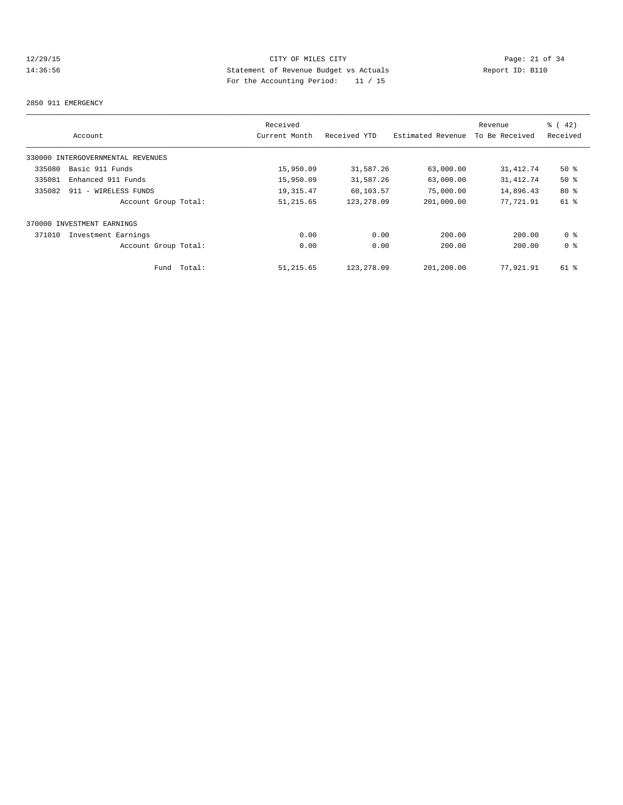# 12/29/15 Page: 21 of 34 14:36:56 Statement of Revenue Budget vs Actuals Report ID: B110 For the Accounting Period: 11 / 15

#### 2850 911 EMERGENCY

|                                   | Received      |              |                   | Revenue        | $\frac{1}{6}$ (42) |
|-----------------------------------|---------------|--------------|-------------------|----------------|--------------------|
| Account                           | Current Month | Received YTD | Estimated Revenue | To Be Received | Received           |
| 330000 INTERGOVERNMENTAL REVENUES |               |              |                   |                |                    |
| Basic 911 Funds<br>335080         | 15,950.09     | 31,587.26    | 63,000.00         | 31, 412.74     | $50*$              |
| Enhanced 911 Funds<br>335081      | 15,950.09     | 31,587.26    | 63,000.00         | 31, 412.74     | $50*$              |
| 335082<br>911 - WIRELESS FUNDS    | 19, 315.47    | 60,103.57    | 75,000.00         | 14,896.43      | $80*$              |
| Account Group Total:              | 51, 215.65    | 123,278.09   | 201,000.00        | 77.721.91      | $61$ %             |
| 370000 INVESTMENT EARNINGS        |               |              |                   |                |                    |
| 371010<br>Investment Earnings     | 0.00          | 0.00         | 200.00            | 200.00         | 0 <sup>8</sup>     |
| Account Group Total:              | 0.00          | 0.00         | 200.00            | 200.00         | 0 <sup>8</sup>     |
| Total:<br>Fund                    | 51, 215.65    | 123,278.09   | 201,200.00        | 77,921.91      | $61$ $%$           |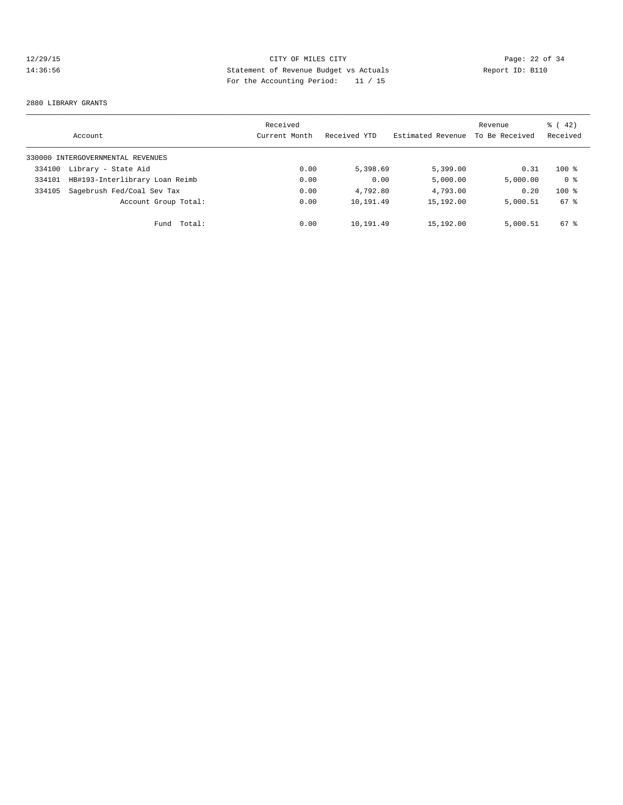# 12/29/15 CITY OF MILES CITY Page: 22 of 34 14:36:56 Statement of Revenue Budget vs Actuals Report ID: B110 For the Accounting Period: 11 / 15

#### 2880 LIBRARY GRANTS

|        | Account                           | Received<br>Current Month | Received YTD | Estimated Revenue | Revenue<br>To Be Received | $\frac{1}{6}$ ( 42)<br>Received |
|--------|-----------------------------------|---------------------------|--------------|-------------------|---------------------------|---------------------------------|
|        | 330000 INTERGOVERNMENTAL REVENUES |                           |              |                   |                           |                                 |
| 334100 | Library - State Aid               | 0.00                      | 5,398.69     | 5,399.00          | 0.31                      | $100*$                          |
| 334101 | HB#193-Interlibrary Loan Reimb    | 0.00                      | 0.00         | 5,000.00          | 5,000.00                  | 0 <sup>8</sup>                  |
| 334105 | Sagebrush Fed/Coal Sev Tax        | 0.00                      | 4,792.80     | 4,793.00          | 0.20                      | $100*$                          |
|        | Account Group Total:              | 0.00                      | 10,191.49    | 15,192.00         | 5,000.51                  | 67 %                            |
|        | Total:<br>Fund                    | 0.00                      | 10,191.49    | 15,192.00         | 5,000.51                  | $67$ $\frac{6}{3}$              |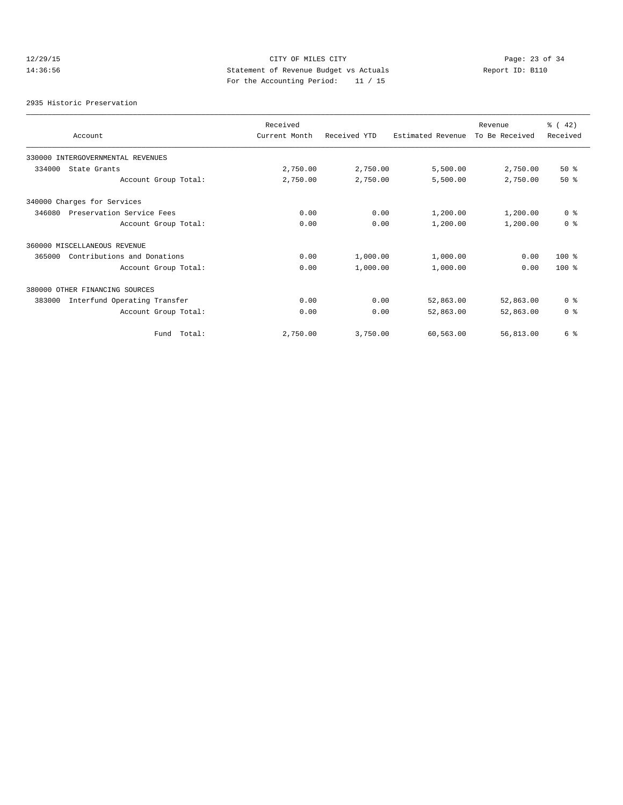# 12/29/15 CITY OF MILES CITY<br>14:36:56 Statement of Revenue Budget vs Actuals<br>11/15 Report ID: B110 14:36:56 Statement of Revenue Budget vs Actuals Report ID: B110 For the Accounting Period: 11 / 15

2935 Historic Preservation

| Account                                | Received<br>Current Month | Received YTD | Estimated Revenue | Revenue<br>To Be Received | % (42)<br>Received |
|----------------------------------------|---------------------------|--------------|-------------------|---------------------------|--------------------|
|                                        |                           |              |                   |                           |                    |
| 330000 INTERGOVERNMENTAL REVENUES      |                           |              |                   |                           |                    |
| 334000<br>State Grants                 | 2,750.00                  | 2,750.00     | 5,500.00          | 2,750.00                  | $50*$              |
| Account Group Total:                   | 2,750.00                  | 2,750.00     | 5,500.00          | 2,750.00                  | $50*$              |
| 340000 Charges for Services            |                           |              |                   |                           |                    |
| 346080<br>Preservation Service Fees    | 0.00                      | 0.00         | 1,200.00          | 1,200.00                  | 0 <sup>8</sup>     |
| Account Group Total:                   | 0.00                      | 0.00         | 1,200.00          | 1,200.00                  | 0 <sup>8</sup>     |
| 360000 MISCELLANEOUS REVENUE           |                           |              |                   |                           |                    |
| Contributions and Donations<br>365000  | 0.00                      | 1,000.00     | 1,000.00          | 0.00                      | $100*$             |
| Account Group Total:                   | 0.00                      | 1,000.00     | 1,000.00          | 0.00                      | $100*$             |
| 380000 OTHER FINANCING SOURCES         |                           |              |                   |                           |                    |
| 383000<br>Interfund Operating Transfer | 0.00                      | 0.00         | 52,863.00         | 52,863.00                 | 0 <sup>8</sup>     |
| Account Group Total:                   | 0.00                      | 0.00         | 52,863.00         | 52,863.00                 | 0 <sup>8</sup>     |
| Total:<br>Fund                         | 2,750.00                  | 3,750.00     | 60,563.00         | 56,813.00                 | 6 %                |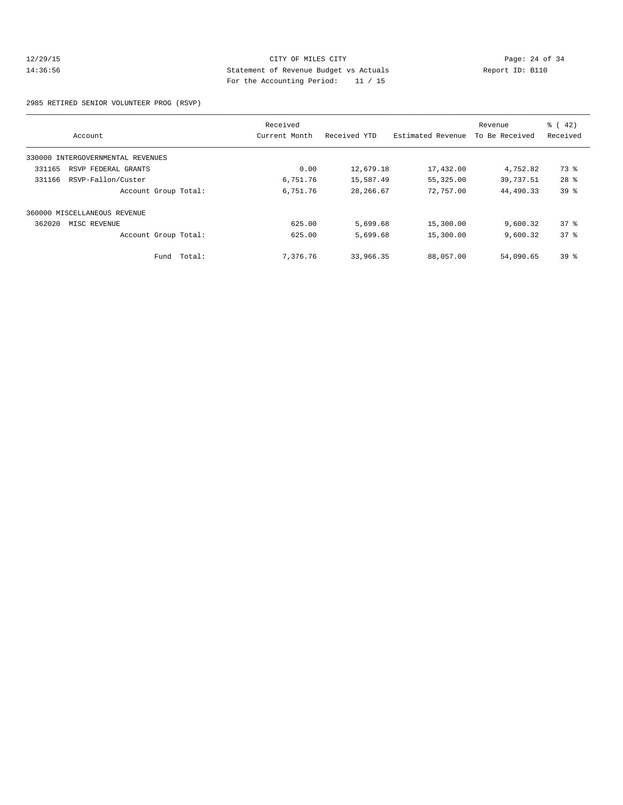# 12/29/15 Page: 24 of 34 14:36:56 Statement of Revenue Budget vs Actuals Report ID: B110 For the Accounting Period: 11 / 15

2985 RETIRED SENIOR VOLUNTEER PROG (RSVP)

|                                   | Received      |              |                   | Revenue        | $\frac{1}{6}$ ( 42) |
|-----------------------------------|---------------|--------------|-------------------|----------------|---------------------|
| Account                           | Current Month | Received YTD | Estimated Revenue | To Be Received | Received            |
| 330000 INTERGOVERNMENTAL REVENUES |               |              |                   |                |                     |
| 331165<br>RSVP FEDERAL GRANTS     | 0.00          | 12,679.18    | 17,432.00         | 4,752.82       | 73 %                |
| RSVP-Fallon/Custer<br>331166      | 6,751.76      | 15,587.49    | 55,325.00         | 39,737.51      | $28$ %              |
| Account Group Total:              | 6,751.76      | 28,266.67    | 72,757.00         | 44,490.33      | 39 <sup>°</sup>     |
| 360000 MISCELLANEOUS REVENUE      |               |              |                   |                |                     |
| 362020<br>MISC REVENUE            | 625.00        | 5,699.68     | 15,300.00         | 9,600.32       | 378                 |
| Account Group Total:              | 625.00        | 5,699.68     | 15,300.00         | 9,600.32       | 37%                 |
| Fund Total:                       | 7,376.76      | 33,966.35    | 88,057.00         | 54,090.65      | 39 <sup>°</sup>     |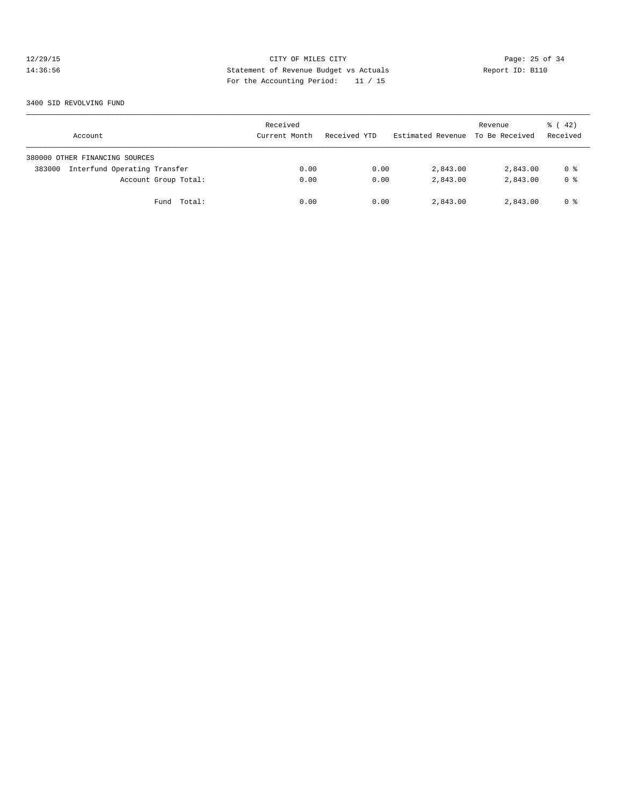# 12/29/15 CITY OF MILES CITY Page: 25 of 34 14:36:56 Statement of Revenue Budget vs Actuals Report ID: B110 For the Accounting Period: 11 / 15

3400 SID REVOLVING FUND

| Account                                | Received<br>Current Month | Received YTD | Estimated Revenue To Be Received | Revenue  | $\frac{1}{6}$ ( 42)<br>Received |
|----------------------------------------|---------------------------|--------------|----------------------------------|----------|---------------------------------|
| 380000 OTHER FINANCING SOURCES         |                           |              |                                  |          |                                 |
| Interfund Operating Transfer<br>383000 | 0.00                      | 0.00         | 2,843.00                         | 2,843.00 | 0 %                             |
| Account Group Total:                   | 0.00                      | 0.00         | 2,843.00                         | 2,843.00 | 0 <sup>8</sup>                  |
| Total:<br>Fund                         | 0.00                      | 0.00         | 2,843.00                         | 2,843.00 | 0 %                             |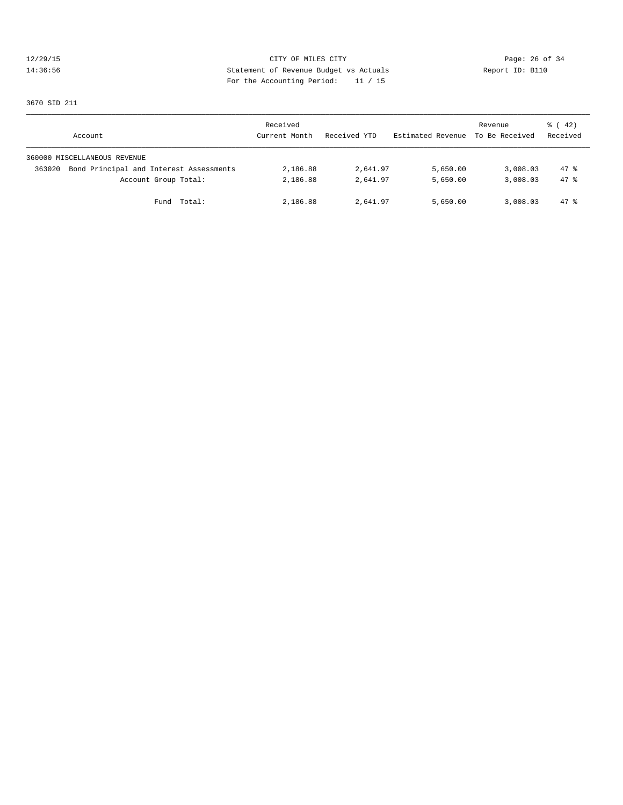# 12/29/15 CITY OF MILES CITY Page: 26 of 34 14:36:56 Statement of Revenue Budget vs Actuals Report ID: B110 For the Accounting Period: 11 / 15

3670 SID 211

| Account                                           | Received<br>Current Month | Received YTD | Estimated Revenue | Revenue<br>To Be Received | $\frac{1}{6}$ ( 42)<br>Received |
|---------------------------------------------------|---------------------------|--------------|-------------------|---------------------------|---------------------------------|
| 360000 MISCELLANEOUS REVENUE                      |                           |              |                   |                           |                                 |
| Bond Principal and Interest Assessments<br>363020 | 2,186.88                  | 2,641.97     | 5,650.00          | 3,008.03                  | 47.8                            |
| Account Group Total:                              | 2,186.88                  | 2,641.97     | 5,650.00          | 3,008.03                  | 47.8                            |
| Fund Total:                                       | 2,186.88                  | 2,641.97     | 5,650.00          | 3,008.03                  | $47*$                           |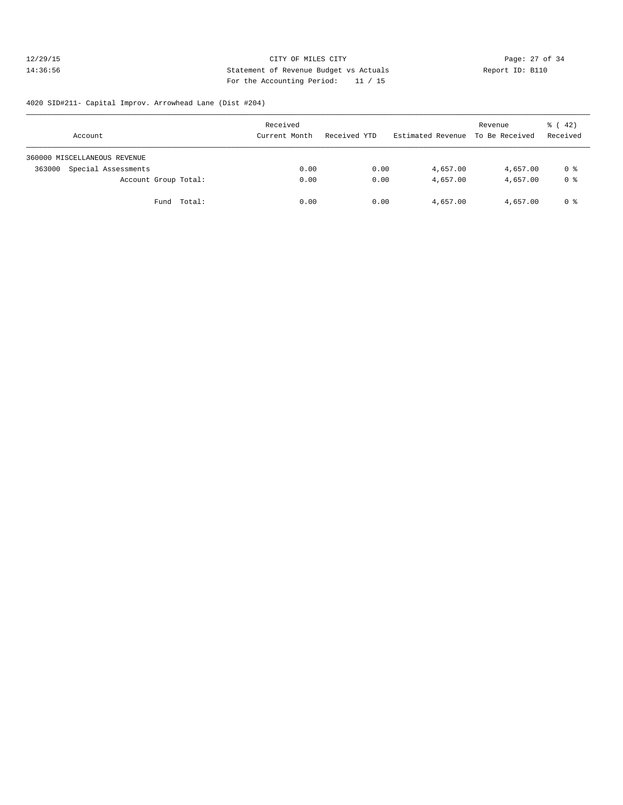# 12/29/15 **Page: 27 of 34** CITY OF MILES CITY **CITY Page: 27 of 34** 14:36:56 Statement of Revenue Budget vs Actuals Report ID: B110 For the Accounting Period: 11 / 15

#### 4020 SID#211- Capital Improv. Arrowhead Lane (Dist #204)

| Account                       | Received<br>Current Month | Received YTD | Estimated Revenue To Be Received | Revenue  | $\frac{1}{6}$ ( 42)<br>Received |
|-------------------------------|---------------------------|--------------|----------------------------------|----------|---------------------------------|
| 360000 MISCELLANEOUS REVENUE  |                           |              |                                  |          |                                 |
| Special Assessments<br>363000 | 0.00                      | 0.00         | 4,657.00                         | 4,657.00 | 0 %                             |
| Account Group Total:          | 0.00                      | 0.00         | 4,657.00                         | 4,657.00 | 0 <sup>8</sup>                  |
| Fund Total:                   | 0.00                      | 0.00         | 4,657.00                         | 4,657.00 | 0 %                             |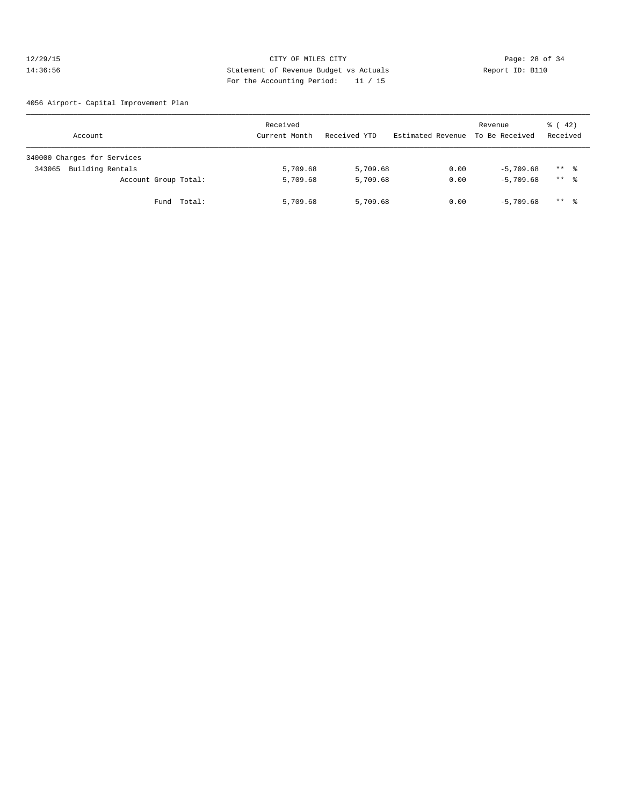# 12/29/15 **Page: 28 of 34** CITY OF MILES CITY **Page: 28 of 34** 14:36:56 Statement of Revenue Budget vs Actuals Report ID: B110 For the Accounting Period: 11 / 15

4056 Airport- Capital Improvement Plan

| Account                     | Received<br>Current Month | Received YTD | Estimated Revenue To Be Received | Revenue     | $\frac{1}{6}$ ( 42)<br>Received |
|-----------------------------|---------------------------|--------------|----------------------------------|-------------|---------------------------------|
| 340000 Charges for Services |                           |              |                                  |             |                                 |
| Building Rentals<br>343065  | 5,709.68                  | 5,709.68     | 0.00                             | $-5.709.68$ | $***$ $\frac{6}{3}$             |
| Account Group Total:        | 5,709.68                  | 5,709.68     | 0.00                             | $-5.709.68$ | $***$ 8                         |
| Fund Total:                 | 5,709.68                  | 5,709.68     | 0.00                             | $-5.709.68$ | $***$ $\frac{6}{3}$             |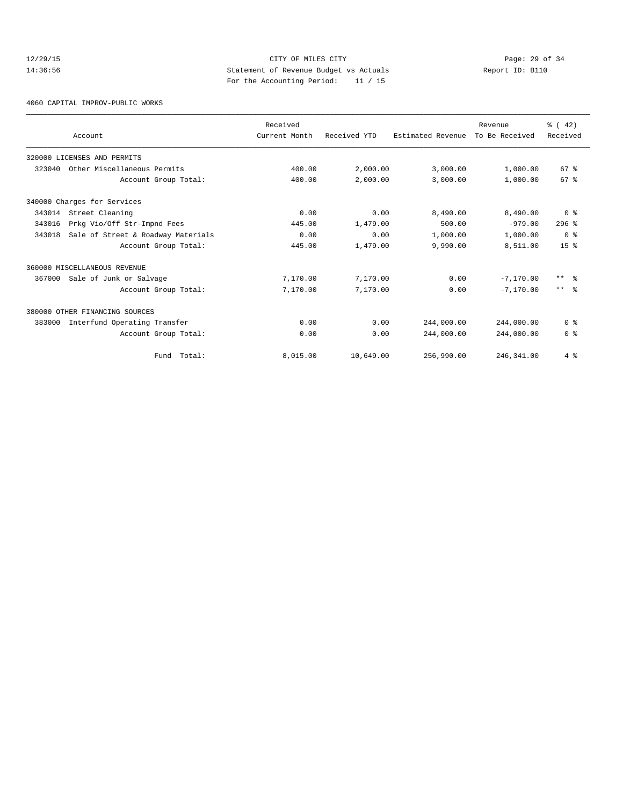# 12/29/15 Page: 29 of 34 14:36:56 Statement of Revenue Budget vs Actuals Report ID: B110 For the Accounting Period: 11 / 15

4060 CAPITAL IMPROV-PUBLIC WORKS

|        |                                    | Received      |              |                   | Revenue        | % (42)          |
|--------|------------------------------------|---------------|--------------|-------------------|----------------|-----------------|
|        | Account                            | Current Month | Received YTD | Estimated Revenue | To Be Received | Received        |
|        | 320000 LICENSES AND PERMITS        |               |              |                   |                |                 |
| 323040 | Other Miscellaneous Permits        | 400.00        | 2,000.00     | 3,000.00          | 1,000.00       | 67 <sup>8</sup> |
|        | Account Group Total:               | 400.00        | 2,000.00     | 3,000.00          | 1,000.00       | 67 <sup>8</sup> |
|        | 340000 Charges for Services        |               |              |                   |                |                 |
| 343014 | Street Cleaning                    | 0.00          | 0.00         | 8,490.00          | 8,490.00       | 0 <sup>8</sup>  |
| 343016 | Prkg Vio/Off Str-Impnd Fees        | 445.00        | 1,479.00     | 500.00            | $-979.00$      | $296$ %         |
| 343018 | Sale of Street & Roadway Materials | 0.00          | 0.00         | 1,000.00          | 1,000.00       | 0 <sup>8</sup>  |
|        | Account Group Total:               | 445.00        | 1,479.00     | 9,990.00          | 8,511.00       | 15 <sup>8</sup> |
|        | 360000 MISCELLANEOUS REVENUE       |               |              |                   |                |                 |
| 367000 | Sale of Junk or Salvage            | 7,170.00      | 7,170.00     | 0.00              | $-7,170,00$    | $***$ $ -$      |
|        | Account Group Total:               | 7,170.00      | 7,170.00     | 0.00              | $-7,170,00$    | $***$ $ -$      |
|        | 380000 OTHER FINANCING SOURCES     |               |              |                   |                |                 |
| 383000 | Interfund Operating Transfer       | 0.00          | 0.00         | 244,000.00        | 244,000.00     | 0 <sup>8</sup>  |
|        | Account Group Total:               | 0.00          | 0.00         | 244,000.00        | 244,000.00     | 0 <sup>8</sup>  |
|        | Fund Total:                        | 8,015.00      | 10,649.00    | 256,990.00        | 246, 341.00    | 4%              |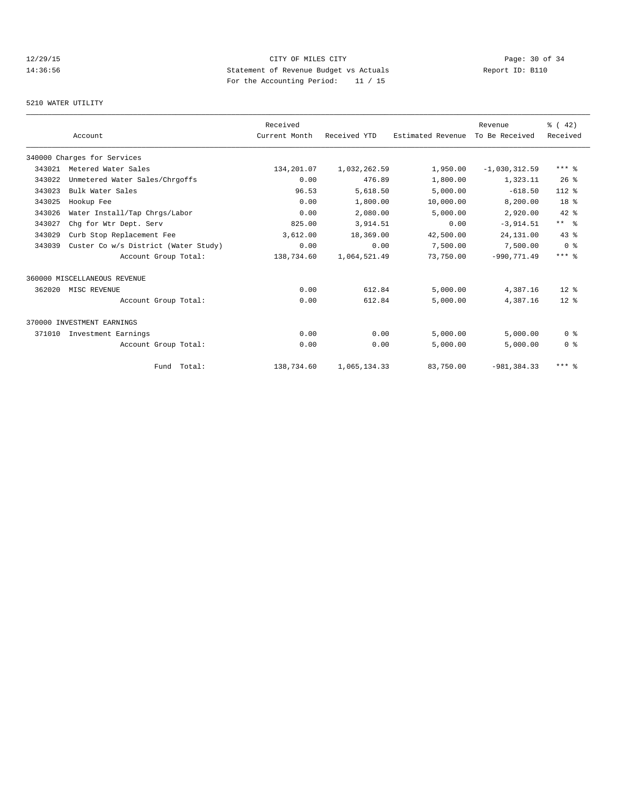# 12/29/15 Page: 30 of 34 14:36:56 Statement of Revenue Budget vs Actuals Report ID: B110<br>Report ID: B110 For the Accounting Period: 11 / 15

# 5210 WATER UTILITY

|        |                                      | Received      |              |                   | Revenue         | % (42)         |
|--------|--------------------------------------|---------------|--------------|-------------------|-----------------|----------------|
|        | Account                              | Current Month | Received YTD | Estimated Revenue | To Be Received  | Received       |
|        | 340000 Charges for Services          |               |              |                   |                 |                |
| 343021 | Metered Water Sales                  | 134,201.07    | 1,032,262.59 | 1,950.00          | $-1,030,312.59$ | $***$ $%$      |
| 343022 | Unmetered Water Sales/Chrgoffs       | 0.00          | 476.89       | 1,800.00          | 1,323.11        | 26%            |
| 343023 | Bulk Water Sales                     | 96.53         | 5,618.50     | 5,000.00          | $-618.50$       | $112*$         |
| 343025 | Hookup Fee                           | 0.00          | 1,800.00     | 10,000.00         | 8,200.00        | 18 %           |
| 343026 | Water Install/Tap Chrgs/Labor        | 0.00          | 2,080.00     | 5,000.00          | 2,920.00        | 42 %           |
| 343027 | Chq for Wtr Dept. Serv               | 825.00        | 3,914.51     | 0.00              | $-3,914.51$     | $***$ $ -$     |
| 343029 | Curb Stop Replacement Fee            | 3,612.00      | 18,369.00    | 42,500.00         | 24,131.00       | 43.8           |
| 343039 | Custer Co w/s District (Water Study) | 0.00          | 0.00         | 7,500.00          | 7,500.00        | 0 <sup>8</sup> |
|        | Account Group Total:                 | 138,734.60    | 1,064,521.49 | 73,750.00         | $-990.771.49$   | $***$ 8        |
|        | 360000 MISCELLANEOUS REVENUE         |               |              |                   |                 |                |
| 362020 | MISC REVENUE                         | 0.00          | 612.84       | 5,000.00          | 4,387.16        | $12*$          |
|        | Account Group Total:                 | 0.00          | 612.84       | 5,000.00          | 4,387.16        | $12*$          |
|        | 370000 INVESTMENT EARNINGS           |               |              |                   |                 |                |
| 371010 | Investment Earnings                  | 0.00          | 0.00         | 5.000.00          | 5.000.00        | 0 <sup>8</sup> |
|        | Account Group Total:                 | 0.00          | 0.00         | 5,000.00          | 5,000.00        | 0 <sup>8</sup> |
|        | Fund Total:                          | 138,734.60    | 1,065,134.33 | 83,750.00         | $-981, 384.33$  | $***$ 8        |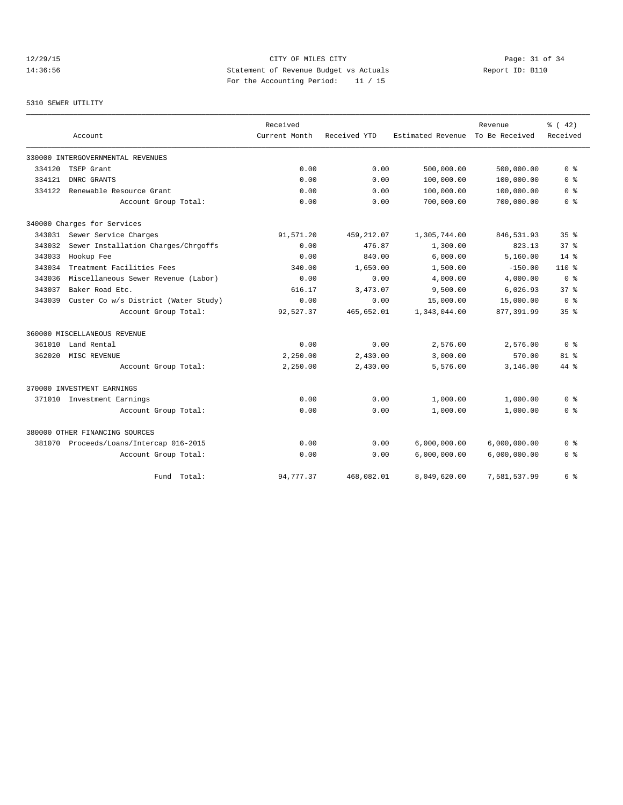# 12/29/15 Page: 31 of 34 14:36:56 Statement of Revenue Budget vs Actuals Report ID: B110 For the Accounting Period: 11 / 15

# 5310 SEWER UTILITY

|        |                                         | Received      |              |                   | Revenue        | % (42)          |
|--------|-----------------------------------------|---------------|--------------|-------------------|----------------|-----------------|
|        | Account                                 | Current Month | Received YTD | Estimated Revenue | To Be Received | Received        |
|        | 330000 INTERGOVERNMENTAL REVENUES       |               |              |                   |                |                 |
| 334120 | TSEP Grant                              | 0.00          | 0.00         | 500,000.00        | 500,000.00     | 0 <sup>8</sup>  |
| 334121 | DNRC GRANTS                             | 0.00          | 0.00         | 100,000.00        | 100,000.00     | 0 <sub>8</sub>  |
| 334122 | Renewable Resource Grant                | 0.00          | 0.00         | 100,000.00        | 100,000.00     | 0 <sup>8</sup>  |
|        | Account Group Total:                    | 0.00          | 0.00         | 700,000.00        | 700,000.00     | 0 <sup>8</sup>  |
|        | 340000 Charges for Services             |               |              |                   |                |                 |
| 343031 | Sewer Service Charges                   | 91,571.20     | 459,212.07   | 1,305,744.00      | 846,531.93     | 35 <sup>8</sup> |
| 343032 | Sewer Installation Charges/Chrgoffs     | 0.00          | 476.87       | 1,300.00          | 823.13         | 37 <sup>8</sup> |
| 343033 | Hookup Fee                              | 0.00          | 840.00       | 6,000.00          | 5,160.00       | $14*$           |
| 343034 | Treatment Facilities Fees               | 340.00        | 1,650.00     | 1,500.00          | $-150.00$      | $110*$          |
| 343036 | Miscellaneous Sewer Revenue (Labor)     | 0.00          | 0.00         | 4,000.00          | 4,000.00       | 0 <sup>8</sup>  |
| 343037 | Baker Road Etc.                         | 616.17        | 3,473.07     | 9,500.00          | 6,026.93       | 37 <sup>8</sup> |
| 343039 | Custer Co w/s District (Water Study)    | 0.00          | 0.00         | 15,000.00         | 15,000.00      | 0 <sup>8</sup>  |
|        | Account Group Total:                    | 92,527.37     | 465,652.01   | 1,343,044.00      | 877,391.99     | 35 <sup>8</sup> |
|        | 360000 MISCELLANEOUS REVENUE            |               |              |                   |                |                 |
| 361010 | Land Rental                             | 0.00          | 0.00         | 2,576.00          | 2,576.00       | 0 <sup>8</sup>  |
| 362020 | MISC REVENUE                            | 2,250.00      | 2,430.00     | 3,000.00          | 570.00         | $81$ %          |
|        | Account Group Total:                    | 2,250.00      | 2,430.00     | 5,576.00          | 3,146.00       | 44 %            |
|        | 370000 INVESTMENT EARNINGS              |               |              |                   |                |                 |
|        | 371010 Investment Earnings              | 0.00          | 0.00         | 1,000.00          | 1,000.00       | 0 <sup>8</sup>  |
|        | Account Group Total:                    | 0.00          | 0.00         | 1,000.00          | 1,000.00       | 0 %             |
|        | 380000 OTHER FINANCING SOURCES          |               |              |                   |                |                 |
|        | 381070 Proceeds/Loans/Intercap 016-2015 | 0.00          | 0.00         | 6,000,000.00      | 6,000,000.00   | 0 %             |
|        | Account Group Total:                    | 0.00          | 0.00         | 6,000,000.00      | 6,000,000.00   | 0 <sup>8</sup>  |
|        | Total:<br>Fund                          | 94,777.37     | 468,082.01   | 8,049,620.00      | 7,581,537.99   | 6 %             |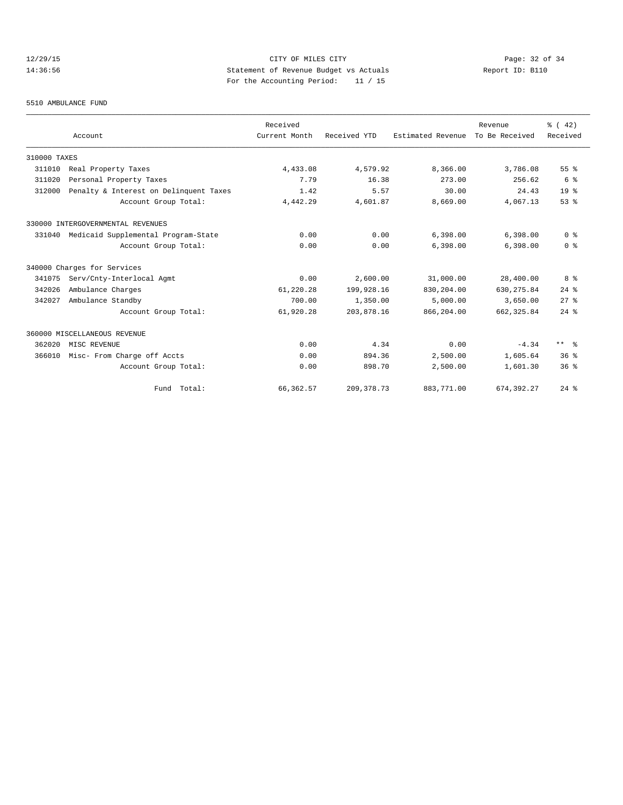# 12/29/15 Page: 32 of 34 14:36:56 Statement of Revenue Budget vs Actuals Report ID: B110 For the Accounting Period: 11 / 15

#### 5510 AMBULANCE FUND

|              |                                        | Received      |              |                   | Revenue        | % (42)          |
|--------------|----------------------------------------|---------------|--------------|-------------------|----------------|-----------------|
|              | Account                                | Current Month | Received YTD | Estimated Revenue | To Be Received | Received        |
| 310000 TAXES |                                        |               |              |                   |                |                 |
| 311010       | Real Property Taxes                    | 4,433.08      | 4,579.92     | 8,366.00          | 3,786.08       | 55%             |
| 311020       | Personal Property Taxes                | 7.79          | 16.38        | 273.00            | 256.62         | 6 %             |
| 312000       | Penalty & Interest on Delinquent Taxes | 1.42          | 5.57         | 30.00             | 24.43          | 19 <sup>°</sup> |
|              | Account Group Total:                   | 4,442.29      | 4,601.87     | 8,669.00          | 4,067.13       | 53%             |
|              | 330000 INTERGOVERNMENTAL REVENUES      |               |              |                   |                |                 |
| 331040       | Medicaid Supplemental Program-State    | 0.00          | 0.00         | 6,398.00          | 6,398.00       | 0 <sup>8</sup>  |
|              | Account Group Total:                   | 0.00          | 0.00         | 6,398.00          | 6,398.00       | 0 <sup>8</sup>  |
|              | 340000 Charges for Services            |               |              |                   |                |                 |
| 341075       | Serv/Cnty-Interlocal Agmt              | 0.00          | 2,600.00     | 31,000.00         | 28,400.00      | 8 %             |
| 342026       | Ambulance Charges                      | 61,220.28     | 199,928.16   | 830,204.00        | 630, 275.84    | $24$ $%$        |
| 342027       | Ambulance Standby                      | 700.00        | 1,350.00     | 5,000.00          | 3,650.00       | $27$ %          |
|              | Account Group Total:                   | 61,920.28     | 203,878.16   | 866,204.00        | 662, 325.84    | $24$ $%$        |
|              | 360000 MISCELLANEOUS REVENUE           |               |              |                   |                |                 |
| 362020       | MISC REVENUE                           | 0.00          | 4.34         | 0.00              | $-4.34$        | $***$ $ -$      |
| 366010       | Misc- From Charge off Accts            | 0.00          | 894.36       | 2,500.00          | 1,605.64       | 36 <sup>8</sup> |
|              | Account Group Total:                   | 0.00          | 898.70       | 2,500.00          | 1,601.30       | $36*$           |
|              | Fund Total:                            | 66, 362.57    | 209, 378.73  | 883,771.00        | 674, 392.27    | $24$ $%$        |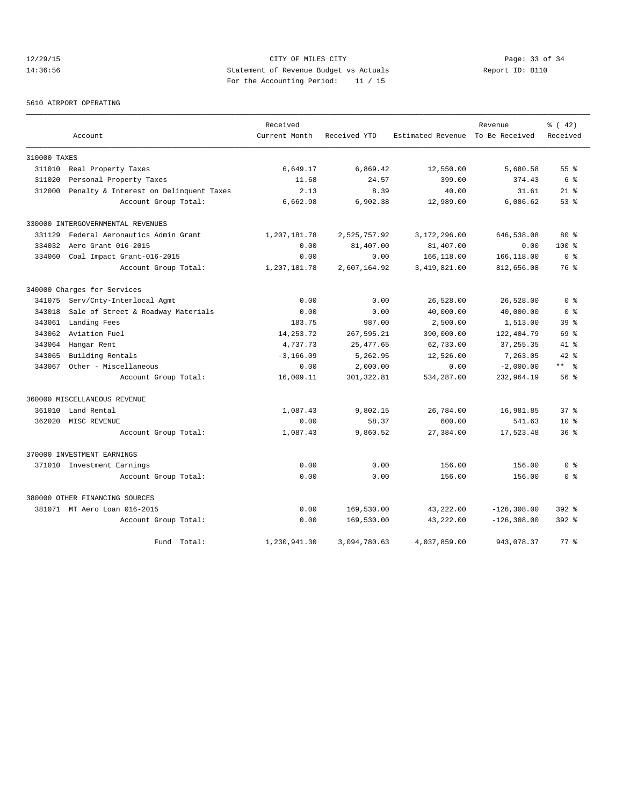# 12/29/15 Page: 33 of 34 14:36:56 Statement of Revenue Budget vs Actuals Report ID: B110 For the Accounting Period: 11 / 15

5610 AIRPORT OPERATING

|              |                                        | Received      |              |                                  | Revenue        | % (42)               |
|--------------|----------------------------------------|---------------|--------------|----------------------------------|----------------|----------------------|
|              | Account                                | Current Month | Received YTD | Estimated Revenue To Be Received |                | Received             |
| 310000 TAXES |                                        |               |              |                                  |                |                      |
| 311010       | Real Property Taxes                    | 6,649.17      | 6,869.42     | 12,550.00                        | 5,680.58       | 55 <sup>8</sup>      |
| 311020       | Personal Property Taxes                | 11.68         | 24.57        | 399.00                           | 374.43         | 6%                   |
| 312000       | Penalty & Interest on Delinquent Taxes | 2.13          | 8.39         | 40.00                            | 31.61          | $21$ %               |
|              | Account Group Total:                   | 6,662.98      | 6,902.38     | 12,989.00                        | 6,086.62       | 53%                  |
|              | 330000 INTERGOVERNMENTAL REVENUES      |               |              |                                  |                |                      |
| 331129       | Federal Aeronautics Admin Grant        | 1,207,181.78  | 2,525,757.92 | 3,172,296.00                     | 646,538.08     | $80*$                |
| 334032       | Aero Grant 016-2015                    | 0.00          | 81,407.00    | 81,407.00                        | 0.00           | 100 %                |
| 334060       | Coal Impact Grant-016-2015             | 0.00          | 0.00         | 166,118.00                       | 166,118.00     | 0 <sup>8</sup>       |
|              | Account Group Total:                   | 1,207,181.78  | 2,607,164.92 | 3,419,821.00                     | 812,656.08     | 76 %                 |
|              | 340000 Charges for Services            |               |              |                                  |                |                      |
| 341075       | Serv/Cnty-Interlocal Agmt              | 0.00          | 0.00         | 26,528.00                        | 26,528.00      | 0 <sup>8</sup>       |
| 343018       | Sale of Street & Roadway Materials     | 0.00          | 0.00         | 40,000.00                        | 40,000.00      | 0 <sup>8</sup>       |
| 343061       | Landing Fees                           | 183.75        | 987.00       | 2,500.00                         | 1,513.00       | 39 <sup>8</sup>      |
| 343062       | Aviation Fuel                          | 14, 253. 72   | 267,595.21   | 390,000.00                       | 122,404.79     | 69 %                 |
| 343064       | Hangar Rent                            | 4,737.73      | 25, 477.65   | 62,733.00                        | 37, 255.35     | 41 %                 |
| 343065       | Building Rentals                       | $-3, 166.09$  | 5,262.95     | 12,526.00                        | 7,263.05       | $42$ %               |
| 343067       | Other - Miscellaneous                  | 0.00          | 2,000.00     | 0.00                             | $-2,000.00$    | $***$ $ \frac{6}{9}$ |
|              | Account Group Total:                   | 16,009.11     | 301, 322.81  | 534,287.00                       | 232,964.19     | 56%                  |
|              | 360000 MISCELLANEOUS REVENUE           |               |              |                                  |                |                      |
| 361010       | Land Rental                            | 1,087.43      | 9,802.15     | 26,784.00                        | 16,981.85      | 37 <sup>8</sup>      |
| 362020       | MISC REVENUE                           | 0.00          | 58.37        | 600.00                           | 541.63         | 10 <sup>8</sup>      |
|              | Account Group Total:                   | 1,087.43      | 9,860.52     | 27,384.00                        | 17,523.48      | 36 <sup>8</sup>      |
|              | 370000 INVESTMENT EARNINGS             |               |              |                                  |                |                      |
|              | 371010 Investment Earnings             | 0.00          | 0.00         | 156.00                           | 156.00         | 0 <sup>8</sup>       |
|              | Account Group Total:                   | 0.00          | 0.00         | 156.00                           | 156.00         | 0 <sup>8</sup>       |
|              | 380000 OTHER FINANCING SOURCES         |               |              |                                  |                |                      |
|              | 381071 MT Aero Loan 016-2015           | 0.00          | 169,530.00   | 43,222.00                        | $-126, 308.00$ | $392$ $%$            |
|              | Account Group Total:                   | 0.00          | 169,530.00   | 43,222.00                        | $-126, 308.00$ | $392$ $%$            |
|              | Fund Total:                            | 1,230,941.30  | 3,094,780.63 | 4,037,859.00                     | 943,078.37     | 77.8                 |